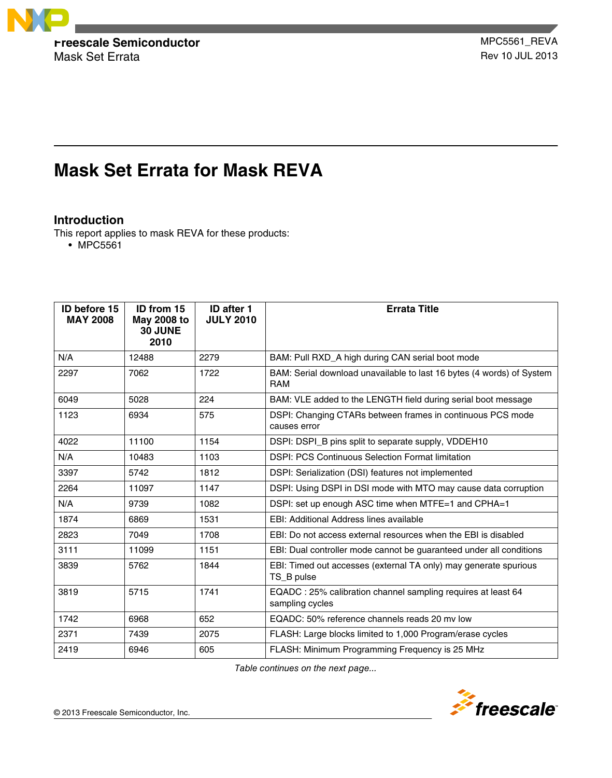

Mask Set Errata **Rev 10 JUL 2013** 

# **Mask Set Errata for Mask REVA**

# **Introduction**

This report applies to mask REVA for these products:

• MPC5561

| <b>ID before 15</b><br><b>MAY 2008</b> | ID from 15<br>May 2008 to<br>30 JUNE<br>2010 | <b>ID after 1</b><br><b>JULY 2010</b> | <b>Errata Title</b>                                                                 |
|----------------------------------------|----------------------------------------------|---------------------------------------|-------------------------------------------------------------------------------------|
| N/A                                    | 12488                                        | 2279                                  | BAM: Pull RXD_A high during CAN serial boot mode                                    |
| 2297                                   | 7062                                         | 1722                                  | BAM: Serial download unavailable to last 16 bytes (4 words) of System<br><b>RAM</b> |
| 6049                                   | 5028                                         | 224                                   | BAM: VLE added to the LENGTH field during serial boot message                       |
| 1123                                   | 6934                                         | 575                                   | DSPI: Changing CTARs between frames in continuous PCS mode<br>causes error          |
| 4022                                   | 11100                                        | 1154                                  | DSPI: DSPI_B pins split to separate supply, VDDEH10                                 |
| N/A                                    | 10483                                        | 1103                                  | <b>DSPI: PCS Continuous Selection Format limitation</b>                             |
| 3397                                   | 5742                                         | 1812                                  | DSPI: Serialization (DSI) features not implemented                                  |
| 2264                                   | 11097                                        | 1147                                  | DSPI: Using DSPI in DSI mode with MTO may cause data corruption                     |
| N/A                                    | 9739                                         | 1082                                  | DSPI: set up enough ASC time when MTFE=1 and CPHA=1                                 |
| 1874                                   | 6869                                         | 1531                                  | EBI: Additional Address lines available                                             |
| 2823                                   | 7049                                         | 1708                                  | EBI: Do not access external resources when the EBI is disabled                      |
| 3111                                   | 11099                                        | 1151                                  | EBI: Dual controller mode cannot be guaranteed under all conditions                 |
| 3839                                   | 5762                                         | 1844                                  | EBI: Timed out accesses (external TA only) may generate spurious<br>TS_B pulse      |
| 3819                                   | 5715                                         | 1741                                  | EQADC: 25% calibration channel sampling requires at least 64<br>sampling cycles     |
| 1742                                   | 6968                                         | 652                                   | EQADC: 50% reference channels reads 20 my low                                       |
| 2371                                   | 7439                                         | 2075                                  | FLASH: Large blocks limited to 1,000 Program/erase cycles                           |
| 2419                                   | 6946                                         | 605                                   | FLASH: Minimum Programming Frequency is 25 MHz                                      |

*Table continues on the next page...*

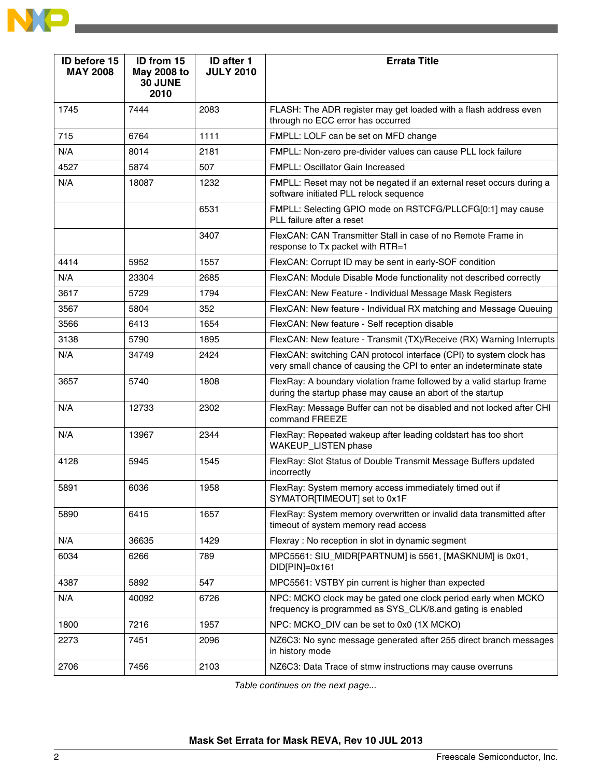

| <b>ID before 15</b><br><b>MAY 2008</b> | ID from 15<br><b>May 2008 to</b><br>30 JUNE<br>2010 | ID after 1<br><b>JULY 2010</b> | <b>Errata Title</b>                                                                                                                         |
|----------------------------------------|-----------------------------------------------------|--------------------------------|---------------------------------------------------------------------------------------------------------------------------------------------|
| 1745                                   | 7444                                                | 2083                           | FLASH: The ADR register may get loaded with a flash address even<br>through no ECC error has occurred                                       |
| 715                                    | 6764                                                | 1111                           | FMPLL: LOLF can be set on MFD change                                                                                                        |
| N/A                                    | 8014                                                | 2181                           | FMPLL: Non-zero pre-divider values can cause PLL lock failure                                                                               |
| 4527                                   | 5874                                                | 507                            | FMPLL: Oscillator Gain Increased                                                                                                            |
| N/A                                    | 18087                                               | 1232                           | FMPLL: Reset may not be negated if an external reset occurs during a<br>software initiated PLL relock sequence                              |
|                                        |                                                     | 6531                           | FMPLL: Selecting GPIO mode on RSTCFG/PLLCFG[0:1] may cause<br>PLL failure after a reset                                                     |
|                                        |                                                     | 3407                           | FlexCAN: CAN Transmitter Stall in case of no Remote Frame in<br>response to Tx packet with RTR=1                                            |
| 4414                                   | 5952                                                | 1557                           | FlexCAN: Corrupt ID may be sent in early-SOF condition                                                                                      |
| N/A                                    | 23304                                               | 2685                           | FlexCAN: Module Disable Mode functionality not described correctly                                                                          |
| 3617                                   | 5729                                                | 1794                           | FlexCAN: New Feature - Individual Message Mask Registers                                                                                    |
| 3567                                   | 5804                                                | 352                            | FlexCAN: New feature - Individual RX matching and Message Queuing                                                                           |
| 3566                                   | 6413                                                | 1654                           | FlexCAN: New feature - Self reception disable                                                                                               |
| 3138                                   | 5790                                                | 1895                           | FlexCAN: New feature - Transmit (TX)/Receive (RX) Warning Interrupts                                                                        |
| N/A                                    | 34749                                               | 2424                           | FlexCAN: switching CAN protocol interface (CPI) to system clock has<br>very small chance of causing the CPI to enter an indeterminate state |
| 3657                                   | 5740                                                | 1808                           | FlexRay: A boundary violation frame followed by a valid startup frame<br>during the startup phase may cause an abort of the startup         |
| N/A                                    | 12733                                               | 2302                           | FlexRay: Message Buffer can not be disabled and not locked after CHI<br>command FREEZE                                                      |
| N/A                                    | 13967                                               | 2344                           | FlexRay: Repeated wakeup after leading coldstart has too short<br>WAKEUP_LISTEN phase                                                       |
| 4128                                   | 5945                                                | 1545                           | FlexRay: Slot Status of Double Transmit Message Buffers updated<br>incorrectly                                                              |
| 5891                                   | 6036                                                | 1958                           | FlexRay: System memory access immediately timed out if<br>SYMATOR[TIMEOUT] set to 0x1F                                                      |
| 5890                                   | 6415                                                | 1657                           | FlexRay: System memory overwritten or invalid data transmitted after<br>timeout of system memory read access                                |
| N/A                                    | 36635                                               | 1429                           | Flexray: No reception in slot in dynamic segment                                                                                            |
| 6034                                   | 6266                                                | 789                            | MPC5561: SIU_MIDR[PARTNUM] is 5561, [MASKNUM] is 0x01,<br>DID[PIN]=0x161                                                                    |
| 4387                                   | 5892                                                | 547                            | MPC5561: VSTBY pin current is higher than expected                                                                                          |
| N/A                                    | 40092                                               | 6726                           | NPC: MCKO clock may be gated one clock period early when MCKO<br>frequency is programmed as SYS_CLK/8.and gating is enabled                 |
| 1800                                   | 7216                                                | 1957                           | NPC: MCKO_DIV can be set to 0x0 (1X MCKO)                                                                                                   |
| 2273                                   | 7451                                                | 2096                           | NZ6C3: No sync message generated after 255 direct branch messages<br>in history mode                                                        |
| 2706                                   | 7456                                                | 2103                           | NZ6C3: Data Trace of stmw instructions may cause overruns                                                                                   |

*Table continues on the next page...*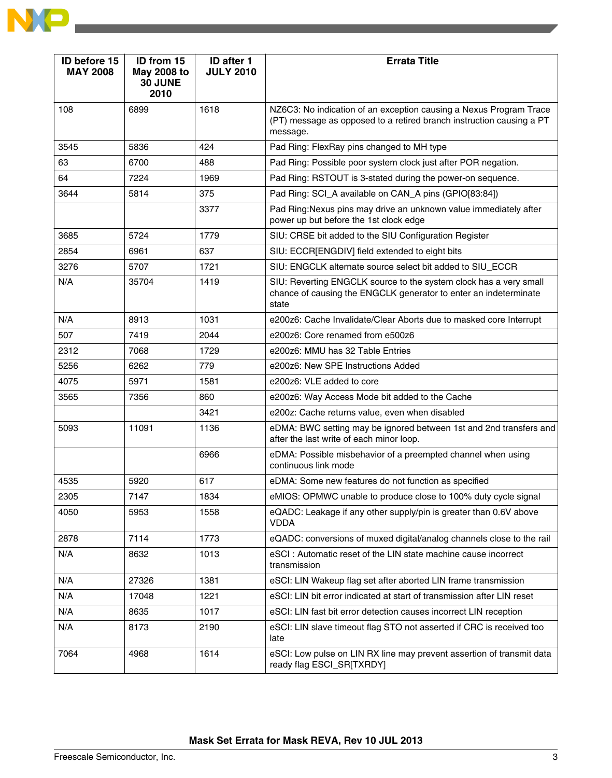

| ID before 15<br><b>MAY 2008</b> | ID from 15<br>May 2008 to<br>30 JUNE<br>2010 | <b>ID after 1</b><br><b>JULY 2010</b> | <b>Errata Title</b>                                                                                                                                    |
|---------------------------------|----------------------------------------------|---------------------------------------|--------------------------------------------------------------------------------------------------------------------------------------------------------|
| 108                             | 6899                                         | 1618                                  | NZ6C3: No indication of an exception causing a Nexus Program Trace<br>(PT) message as opposed to a retired branch instruction causing a PT<br>message. |
| 3545                            | 5836                                         | 424                                   | Pad Ring: FlexRay pins changed to MH type                                                                                                              |
| 63                              | 6700                                         | 488                                   | Pad Ring: Possible poor system clock just after POR negation.                                                                                          |
| 64                              | 7224                                         | 1969                                  | Pad Ring: RSTOUT is 3-stated during the power-on sequence.                                                                                             |
| 3644                            | 5814                                         | 375                                   | Pad Ring: SCI_A available on CAN_A pins (GPIO[83:84])                                                                                                  |
|                                 |                                              | 3377                                  | Pad Ring: Nexus pins may drive an unknown value immediately after<br>power up but before the 1st clock edge                                            |
| 3685                            | 5724                                         | 1779                                  | SIU: CRSE bit added to the SIU Configuration Register                                                                                                  |
| 2854                            | 6961                                         | 637                                   | SIU: ECCR[ENGDIV] field extended to eight bits                                                                                                         |
| 3276                            | 5707                                         | 1721                                  | SIU: ENGCLK alternate source select bit added to SIU_ECCR                                                                                              |
| N/A                             | 35704                                        | 1419                                  | SIU: Reverting ENGCLK source to the system clock has a very small<br>chance of causing the ENGCLK generator to enter an indeterminate<br>state         |
| N/A                             | 8913                                         | 1031                                  | e200z6: Cache Invalidate/Clear Aborts due to masked core Interrupt                                                                                     |
| 507                             | 7419                                         | 2044                                  | e200z6: Core renamed from e500z6                                                                                                                       |
| 2312                            | 7068                                         | 1729                                  | e200z6: MMU has 32 Table Entries                                                                                                                       |
| 5256                            | 6262                                         | 779                                   | e200z6: New SPE Instructions Added                                                                                                                     |
| 4075                            | 5971                                         | 1581                                  | e200z6: VLE added to core                                                                                                                              |
| 3565                            | 7356                                         | 860                                   | e200z6: Way Access Mode bit added to the Cache                                                                                                         |
|                                 |                                              | 3421                                  | e200z: Cache returns value, even when disabled                                                                                                         |
| 5093                            | 11091                                        | 1136                                  | eDMA: BWC setting may be ignored between 1st and 2nd transfers and<br>after the last write of each minor loop.                                         |
|                                 |                                              | 6966                                  | eDMA: Possible misbehavior of a preempted channel when using<br>continuous link mode                                                                   |
| 4535                            | 5920                                         | 617                                   | eDMA: Some new features do not function as specified                                                                                                   |
| 2305                            | 7147                                         | 1834                                  | eMIOS: OPMWC unable to produce close to 100% duty cycle signal                                                                                         |
| 4050                            | 5953                                         | 1558                                  | eQADC: Leakage if any other supply/pin is greater than 0.6V above<br><b>VDDA</b>                                                                       |
| 2878                            | 7114                                         | 1773                                  | eQADC: conversions of muxed digital/analog channels close to the rail                                                                                  |
| N/A                             | 8632                                         | 1013                                  | eSCI : Automatic reset of the LIN state machine cause incorrect<br>transmission                                                                        |
| N/A                             | 27326                                        | 1381                                  | eSCI: LIN Wakeup flag set after aborted LIN frame transmission                                                                                         |
| N/A                             | 17048                                        | 1221                                  | eSCI: LIN bit error indicated at start of transmission after LIN reset                                                                                 |
| N/A                             | 8635                                         | 1017                                  | eSCI: LIN fast bit error detection causes incorrect LIN reception                                                                                      |
| N/A                             | 8173                                         | 2190                                  | eSCI: LIN slave timeout flag STO not asserted if CRC is received too<br>late                                                                           |
| 7064                            | 4968                                         | 1614                                  | eSCI: Low pulse on LIN RX line may prevent assertion of transmit data<br>ready flag ESCI_SR[TXRDY]                                                     |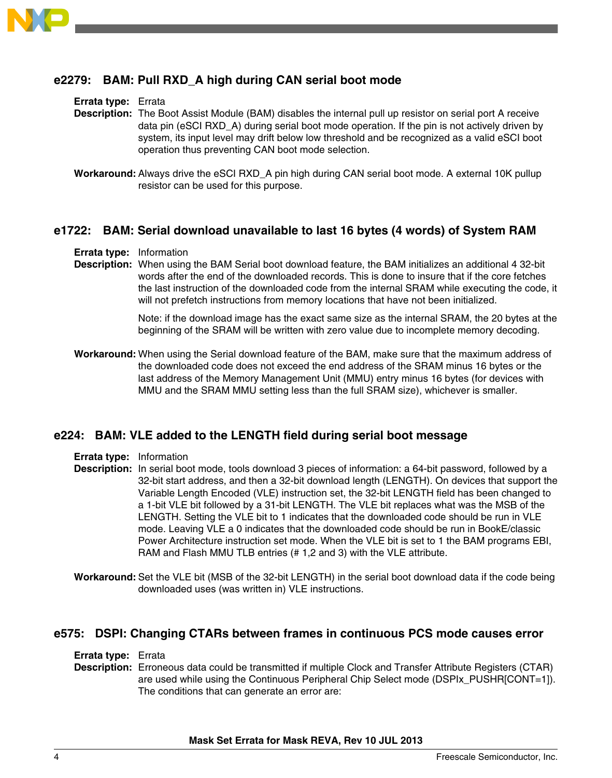

# **e2279: BAM: Pull RXD\_A high during CAN serial boot mode**

**Errata type:** Errata

- **Description:** The Boot Assist Module (BAM) disables the internal pull up resistor on serial port A receive data pin (eSCI RXD A) during serial boot mode operation. If the pin is not actively driven by system, its input level may drift below low threshold and be recognized as a valid eSCI boot operation thus preventing CAN boot mode selection.
- **Workaround:** Always drive the eSCI RXD\_A pin high during CAN serial boot mode. A external 10K pullup resistor can be used for this purpose.

### **e1722: BAM: Serial download unavailable to last 16 bytes (4 words) of System RAM**

- **Errata type:** Information
- **Description:** When using the BAM Serial boot download feature, the BAM initializes an additional 4 32-bit words after the end of the downloaded records. This is done to insure that if the core fetches the last instruction of the downloaded code from the internal SRAM while executing the code, it will not prefetch instructions from memory locations that have not been initialized.

Note: if the download image has the exact same size as the internal SRAM, the 20 bytes at the beginning of the SRAM will be written with zero value due to incomplete memory decoding.

**Workaround:** When using the Serial download feature of the BAM, make sure that the maximum address of the downloaded code does not exceed the end address of the SRAM minus 16 bytes or the last address of the Memory Management Unit (MMU) entry minus 16 bytes (for devices with MMU and the SRAM MMU setting less than the full SRAM size), whichever is smaller.

#### **e224: BAM: VLE added to the LENGTH field during serial boot message**

- **Errata type:** Information
- **Description:** In serial boot mode, tools download 3 pieces of information: a 64-bit password, followed by a 32-bit start address, and then a 32-bit download length (LENGTH). On devices that support the Variable Length Encoded (VLE) instruction set, the 32-bit LENGTH field has been changed to a 1-bit VLE bit followed by a 31-bit LENGTH. The VLE bit replaces what was the MSB of the LENGTH. Setting the VLE bit to 1 indicates that the downloaded code should be run in VLE mode. Leaving VLE a 0 indicates that the downloaded code should be run in BookE/classic Power Architecture instruction set mode. When the VLE bit is set to 1 the BAM programs EBI, RAM and Flash MMU TLB entries (# 1,2 and 3) with the VLE attribute.
- **Workaround:** Set the VLE bit (MSB of the 32-bit LENGTH) in the serial boot download data if the code being downloaded uses (was written in) VLE instructions.

#### **e575: DSPI: Changing CTARs between frames in continuous PCS mode causes error**

#### **Errata type:** Errata

**Description:** Erroneous data could be transmitted if multiple Clock and Transfer Attribute Registers (CTAR) are used while using the Continuous Peripheral Chip Select mode (DSPIx\_PUSHR[CONT=1]). The conditions that can generate an error are: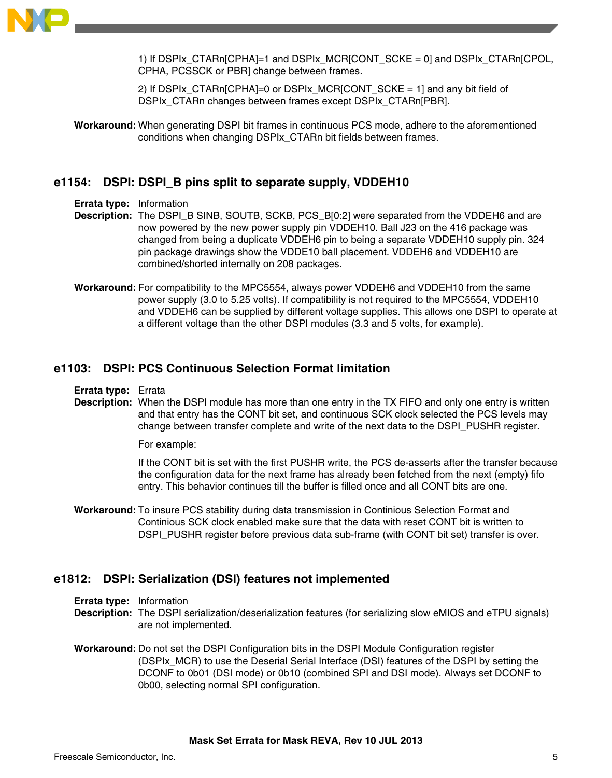

1) If DSPIx\_CTARn[CPHA]=1 and DSPIx\_MCR[CONT\_SCKE = 0] and DSPIx\_CTARn[CPOL, CPHA, PCSSCK or PBR] change between frames.

2) If DSPIx CTARn[CPHA]=0 or DSPIx MCR[CONT SCKE = 1] and any bit field of DSPIx\_CTARn changes between frames except DSPIx\_CTARn[PBR].

**Workaround:** When generating DSPI bit frames in continuous PCS mode, adhere to the aforementioned conditions when changing DSPIx\_CTARn bit fields between frames.

# **e1154: DSPI: DSPI\_B pins split to separate supply, VDDEH10**

**Errata type:** Information

- **Description:** The DSPI\_B SINB, SOUTB, SCKB, PCS\_B[0:2] were separated from the VDDEH6 and are now powered by the new power supply pin VDDEH10. Ball J23 on the 416 package was changed from being a duplicate VDDEH6 pin to being a separate VDDEH10 supply pin. 324 pin package drawings show the VDDE10 ball placement. VDDEH6 and VDDEH10 are combined/shorted internally on 208 packages.
- **Workaround:** For compatibility to the MPC5554, always power VDDEH6 and VDDEH10 from the same power supply (3.0 to 5.25 volts). If compatibility is not required to the MPC5554, VDDEH10 and VDDEH6 can be supplied by different voltage supplies. This allows one DSPI to operate at a different voltage than the other DSPI modules (3.3 and 5 volts, for example).

# **e1103: DSPI: PCS Continuous Selection Format limitation**

**Errata type:** Errata

**Description:** When the DSPI module has more than one entry in the TX FIFO and only one entry is written and that entry has the CONT bit set, and continuous SCK clock selected the PCS levels may change between transfer complete and write of the next data to the DSPI\_PUSHR register.

For example:

If the CONT bit is set with the first PUSHR write, the PCS de-asserts after the transfer because the configuration data for the next frame has already been fetched from the next (empty) fifo entry. This behavior continues till the buffer is filled once and all CONT bits are one.

**Workaround:** To insure PCS stability during data transmission in Continious Selection Format and Continious SCK clock enabled make sure that the data with reset CONT bit is written to DSPI\_PUSHR register before previous data sub-frame (with CONT bit set) transfer is over.

# **e1812: DSPI: Serialization (DSI) features not implemented**

**Errata type:** Information

- **Description:** The DSPI serialization/deserialization features (for serializing slow eMIOS and eTPU signals) are not implemented.
- **Workaround:** Do not set the DSPI Configuration bits in the DSPI Module Configuration register (DSPIx\_MCR) to use the Deserial Serial Interface (DSI) features of the DSPI by setting the DCONF to 0b01 (DSI mode) or 0b10 (combined SPI and DSI mode). Always set DCONF to 0b00, selecting normal SPI configuration.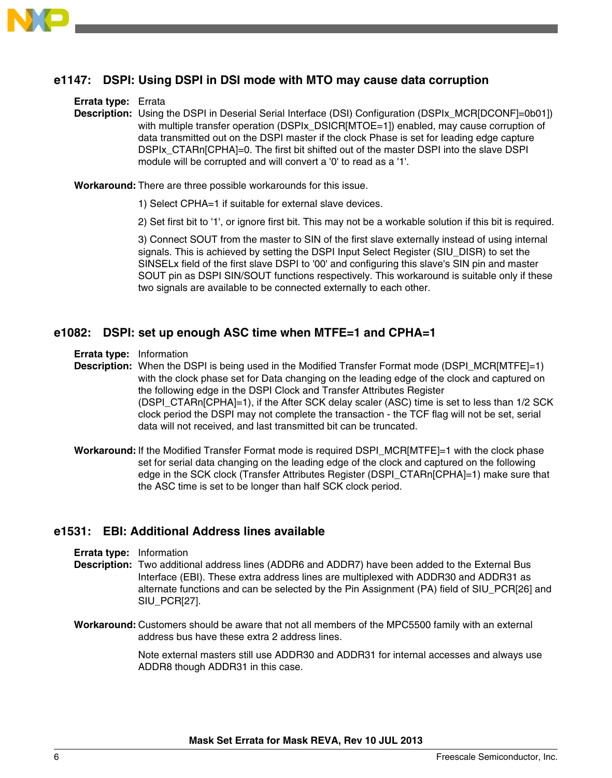

# **e1147: DSPI: Using DSPI in DSI mode with MTO may cause data corruption**

#### **Errata type:** Errata

**Description:** Using the DSPI in Deserial Serial Interface (DSI) Configuration (DSPIx\_MCR[DCONF]=0b01]) with multiple transfer operation (DSPIx\_DSICR[MTOE=1]) enabled, may cause corruption of data transmitted out on the DSPI master if the clock Phase is set for leading edge capture DSPIx\_CTARn[CPHA]=0. The first bit shifted out of the master DSPI into the slave DSPI module will be corrupted and will convert a '0' to read as a '1'.

**Workaround:** There are three possible workarounds for this issue.

- 1) Select CPHA=1 if suitable for external slave devices.
- 2) Set first bit to '1', or ignore first bit. This may not be a workable solution if this bit is required.

3) Connect SOUT from the master to SIN of the first slave externally instead of using internal signals. This is achieved by setting the DSPI Input Select Register (SIU\_DISR) to set the SINSELx field of the first slave DSPI to '00' and configuring this slave's SIN pin and master SOUT pin as DSPI SIN/SOUT functions respectively. This workaround is suitable only if these two signals are available to be connected externally to each other.

### **e1082: DSPI: set up enough ASC time when MTFE=1 and CPHA=1**

**Errata type:** Information

**Description:** When the DSPI is being used in the Modified Transfer Format mode (DSPI\_MCR[MTFE]=1) with the clock phase set for Data changing on the leading edge of the clock and captured on the following edge in the DSPI Clock and Transfer Attributes Register (DSPI\_CTARn[CPHA]=1), if the After SCK delay scaler (ASC) time is set to less than 1/2 SCK clock period the DSPI may not complete the transaction - the TCF flag will not be set, serial data will not received, and last transmitted bit can be truncated.

**Workaround:** If the Modified Transfer Format mode is required DSPI\_MCR[MTFE]=1 with the clock phase set for serial data changing on the leading edge of the clock and captured on the following edge in the SCK clock (Transfer Attributes Register (DSPI\_CTARn[CPHA]=1) make sure that the ASC time is set to be longer than half SCK clock period.

# **e1531: EBI: Additional Address lines available**

- **Errata type:** Information
- **Description:** Two additional address lines (ADDR6 and ADDR7) have been added to the External Bus Interface (EBI). These extra address lines are multiplexed with ADDR30 and ADDR31 as alternate functions and can be selected by the Pin Assignment (PA) field of SIU\_PCR[26] and SIU\_PCR[27].
- **Workaround:** Customers should be aware that not all members of the MPC5500 family with an external address bus have these extra 2 address lines.

Note external masters still use ADDR30 and ADDR31 for internal accesses and always use ADDR8 though ADDR31 in this case.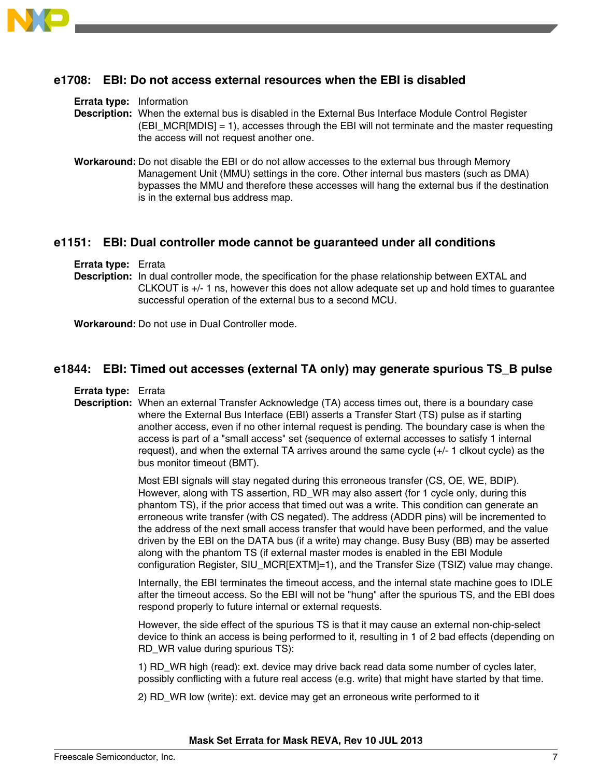

### **e1708: EBI: Do not access external resources when the EBI is disabled**

#### **Errata type:** Information

**Description:** When the external bus is disabled in the External Bus Interface Module Control Register  $(EBI MCR[MDIS] = 1)$ , accesses through the EBI will not terminate and the master requesting the access will not request another one.

**Workaround:** Do not disable the EBI or do not allow accesses to the external bus through Memory Management Unit (MMU) settings in the core. Other internal bus masters (such as DMA) bypasses the MMU and therefore these accesses will hang the external bus if the destination is in the external bus address map.

### **e1151: EBI: Dual controller mode cannot be guaranteed under all conditions**

**Errata type:** Errata

**Description:** In dual controller mode, the specification for the phase relationship between EXTAL and CLKOUT is +/- 1 ns, however this does not allow adequate set up and hold times to guarantee successful operation of the external bus to a second MCU.

**Workaround:** Do not use in Dual Controller mode.

#### **e1844: EBI: Timed out accesses (external TA only) may generate spurious TS\_B pulse**

**Errata type:** Errata

**Description:** When an external Transfer Acknowledge (TA) access times out, there is a boundary case where the External Bus Interface (EBI) asserts a Transfer Start (TS) pulse as if starting another access, even if no other internal request is pending. The boundary case is when the access is part of a "small access" set (sequence of external accesses to satisfy 1 internal request), and when the external TA arrives around the same cycle (+/- 1 clkout cycle) as the bus monitor timeout (BMT).

> Most EBI signals will stay negated during this erroneous transfer (CS, OE, WE, BDIP). However, along with TS assertion, RD\_WR may also assert (for 1 cycle only, during this phantom TS), if the prior access that timed out was a write. This condition can generate an erroneous write transfer (with CS negated). The address (ADDR pins) will be incremented to the address of the next small access transfer that would have been performed, and the value driven by the EBI on the DATA bus (if a write) may change. Busy Busy (BB) may be asserted along with the phantom TS (if external master modes is enabled in the EBI Module configuration Register, SIU\_MCR[EXTM]=1), and the Transfer Size (TSIZ) value may change.

> Internally, the EBI terminates the timeout access, and the internal state machine goes to IDLE after the timeout access. So the EBI will not be "hung" after the spurious TS, and the EBI does respond properly to future internal or external requests.

> However, the side effect of the spurious TS is that it may cause an external non-chip-select device to think an access is being performed to it, resulting in 1 of 2 bad effects (depending on RD\_WR value during spurious TS):

1) RD\_WR high (read): ext. device may drive back read data some number of cycles later, possibly conflicting with a future real access (e.g. write) that might have started by that time.

2) RD\_WR low (write): ext. device may get an erroneous write performed to it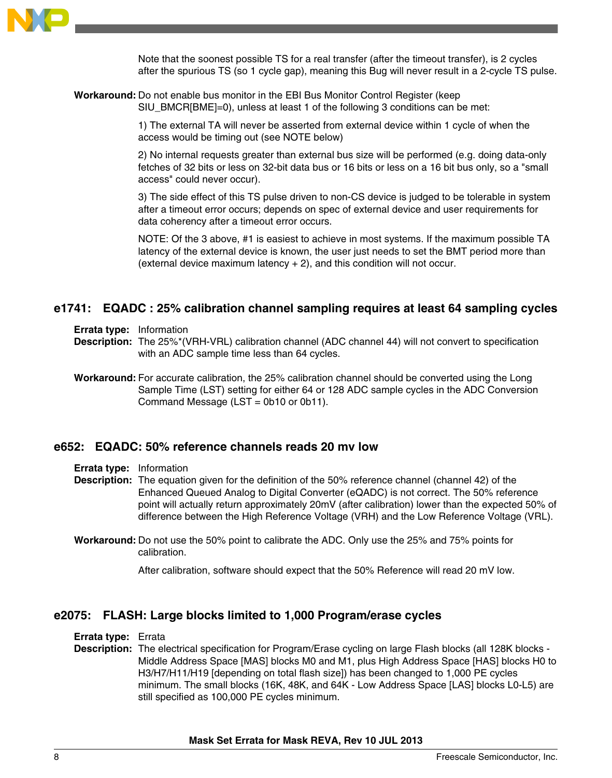

Note that the soonest possible TS for a real transfer (after the timeout transfer), is 2 cycles after the spurious TS (so 1 cycle gap), meaning this Bug will never result in a 2-cycle TS pulse.

**Workaround:** Do not enable bus monitor in the EBI Bus Monitor Control Register (keep SIU\_BMCR[BME]=0), unless at least 1 of the following 3 conditions can be met:

> 1) The external TA will never be asserted from external device within 1 cycle of when the access would be timing out (see NOTE below)

2) No internal requests greater than external bus size will be performed (e.g. doing data-only fetches of 32 bits or less on 32-bit data bus or 16 bits or less on a 16 bit bus only, so a "small access" could never occur).

3) The side effect of this TS pulse driven to non-CS device is judged to be tolerable in system after a timeout error occurs; depends on spec of external device and user requirements for data coherency after a timeout error occurs.

NOTE: Of the 3 above, #1 is easiest to achieve in most systems. If the maximum possible TA latency of the external device is known, the user just needs to set the BMT period more than (external device maximum latency + 2), and this condition will not occur.

### **e1741: EQADC : 25% calibration channel sampling requires at least 64 sampling cycles**

**Errata type:** Information

- **Description:** The 25%\*(VRH-VRL) calibration channel (ADC channel 44) will not convert to specification with an ADC sample time less than 64 cycles.
- **Workaround:** For accurate calibration, the 25% calibration channel should be converted using the Long Sample Time (LST) setting for either 64 or 128 ADC sample cycles in the ADC Conversion Command Message (LST = 0b10 or 0b11).

#### **e652: EQADC: 50% reference channels reads 20 mv low**

**Errata type:** Information

**Description:** The equation given for the definition of the 50% reference channel (channel 42) of the Enhanced Queued Analog to Digital Converter (eQADC) is not correct. The 50% reference point will actually return approximately 20mV (after calibration) lower than the expected 50% of difference between the High Reference Voltage (VRH) and the Low Reference Voltage (VRL).

**Workaround:** Do not use the 50% point to calibrate the ADC. Only use the 25% and 75% points for calibration.

After calibration, software should expect that the 50% Reference will read 20 mV low.

### **e2075: FLASH: Large blocks limited to 1,000 Program/erase cycles**

**Errata type:** Errata

**Description:** The electrical specification for Program/Erase cycling on large Flash blocks (all 128K blocks -Middle Address Space [MAS] blocks M0 and M1, plus High Address Space [HAS] blocks H0 to H3/H7/H11/H19 [depending on total flash size]) has been changed to 1,000 PE cycles minimum. The small blocks (16K, 48K, and 64K - Low Address Space [LAS] blocks L0-L5) are still specified as 100,000 PE cycles minimum.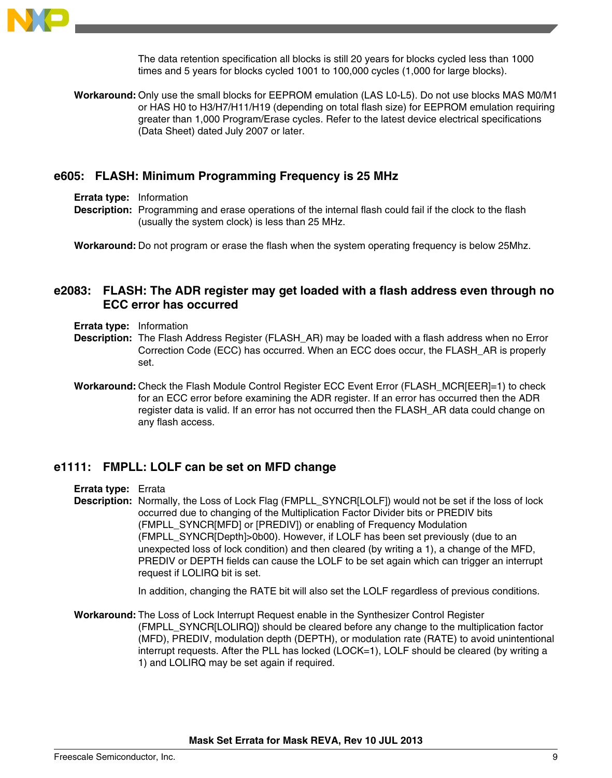

The data retention specification all blocks is still 20 years for blocks cycled less than 1000 times and 5 years for blocks cycled 1001 to 100,000 cycles (1,000 for large blocks).

**Workaround:** Only use the small blocks for EEPROM emulation (LAS L0-L5). Do not use blocks MAS M0/M1 or HAS H0 to H3/H7/H11/H19 (depending on total flash size) for EEPROM emulation requiring greater than 1,000 Program/Erase cycles. Refer to the latest device electrical specifications (Data Sheet) dated July 2007 or later.

### **e605: FLASH: Minimum Programming Frequency is 25 MHz**

**Errata type:** Information

**Description:** Programming and erase operations of the internal flash could fail if the clock to the flash (usually the system clock) is less than 25 MHz.

**Workaround:** Do not program or erase the flash when the system operating frequency is below 25Mhz.

# **e2083: FLASH: The ADR register may get loaded with a flash address even through no ECC error has occurred**

**Errata type:** Information

- **Description:** The Flash Address Register (FLASH\_AR) may be loaded with a flash address when no Error Correction Code (ECC) has occurred. When an ECC does occur, the FLASH\_AR is properly set.
- **Workaround:** Check the Flash Module Control Register ECC Event Error (FLASH\_MCR[EER]=1) to check for an ECC error before examining the ADR register. If an error has occurred then the ADR register data is valid. If an error has not occurred then the FLASH\_AR data could change on any flash access.

### **e1111: FMPLL: LOLF can be set on MFD change**

**Errata type:** Errata

**Description:** Normally, the Loss of Lock Flag (FMPLL\_SYNCR[LOLF]) would not be set if the loss of lock occurred due to changing of the Multiplication Factor Divider bits or PREDIV bits (FMPLL\_SYNCR[MFD] or [PREDIV]) or enabling of Frequency Modulation (FMPLL\_SYNCR[Depth]>0b00). However, if LOLF has been set previously (due to an unexpected loss of lock condition) and then cleared (by writing a 1), a change of the MFD, PREDIV or DEPTH fields can cause the LOLF to be set again which can trigger an interrupt request if LOLIRQ bit is set.

In addition, changing the RATE bit will also set the LOLF regardless of previous conditions.

**Workaround:** The Loss of Lock Interrupt Request enable in the Synthesizer Control Register (FMPLL\_SYNCR[LOLIRQ]) should be cleared before any change to the multiplication factor (MFD), PREDIV, modulation depth (DEPTH), or modulation rate (RATE) to avoid unintentional interrupt requests. After the PLL has locked (LOCK=1), LOLF should be cleared (by writing a 1) and LOLIRQ may be set again if required.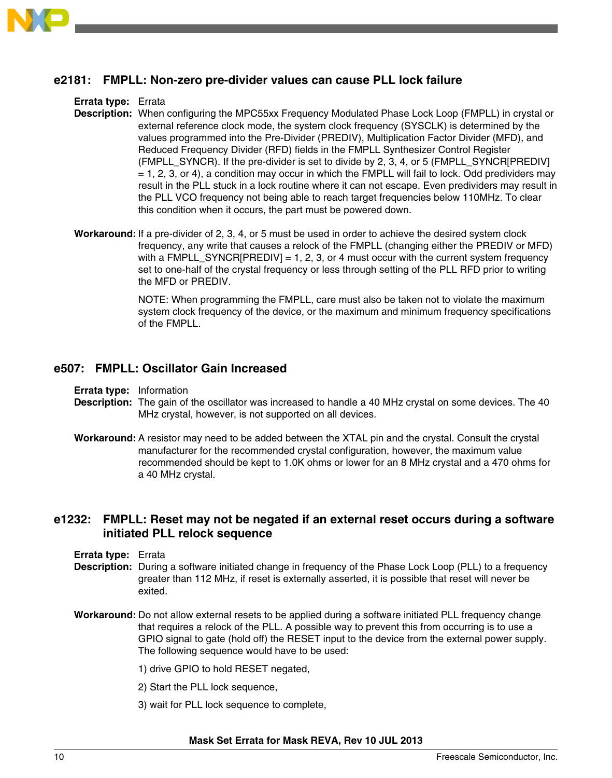

# **e2181: FMPLL: Non-zero pre-divider values can cause PLL lock failure**

**Errata type:** Errata

- **Description:** When configuring the MPC55xx Frequency Modulated Phase Lock Loop (FMPLL) in crystal or external reference clock mode, the system clock frequency (SYSCLK) is determined by the values programmed into the Pre-Divider (PREDIV), Multiplication Factor Divider (MFD), and Reduced Frequency Divider (RFD) fields in the FMPLL Synthesizer Control Register (FMPLL\_SYNCR). If the pre-divider is set to divide by 2, 3, 4, or 5 (FMPLL\_SYNCR[PREDIV]  $= 1, 2, 3,$  or 4), a condition may occur in which the FMPLL will fail to lock. Odd predividers may result in the PLL stuck in a lock routine where it can not escape. Even predividers may result in the PLL VCO frequency not being able to reach target frequencies below 110MHz. To clear this condition when it occurs, the part must be powered down.
- **Workaround:** If a pre-divider of 2, 3, 4, or 5 must be used in order to achieve the desired system clock frequency, any write that causes a relock of the FMPLL (changing either the PREDIV or MFD) with a FMPLL\_SYNCR[PREDIV] = 1, 2, 3, or 4 must occur with the current system frequency set to one-half of the crystal frequency or less through setting of the PLL RFD prior to writing the MFD or PREDIV.

NOTE: When programming the FMPLL, care must also be taken not to violate the maximum system clock frequency of the device, or the maximum and minimum frequency specifications of the FMPLL.

### **e507: FMPLL: Oscillator Gain Increased**

**Errata type:** Information

- **Description:** The gain of the oscillator was increased to handle a 40 MHz crystal on some devices. The 40 MHz crystal, however, is not supported on all devices.
- **Workaround:** A resistor may need to be added between the XTAL pin and the crystal. Consult the crystal manufacturer for the recommended crystal configuration, however, the maximum value recommended should be kept to 1.0K ohms or lower for an 8 MHz crystal and a 470 ohms for a 40 MHz crystal.

### **e1232: FMPLL: Reset may not be negated if an external reset occurs during a software initiated PLL relock sequence**

- **Errata type:** Errata
- **Description:** During a software initiated change in frequency of the Phase Lock Loop (PLL) to a frequency greater than 112 MHz, if reset is externally asserted, it is possible that reset will never be exited.
- **Workaround:** Do not allow external resets to be applied during a software initiated PLL frequency change that requires a relock of the PLL. A possible way to prevent this from occurring is to use a GPIO signal to gate (hold off) the RESET input to the device from the external power supply. The following sequence would have to be used:
	- 1) drive GPIO to hold RESET negated,
	- 2) Start the PLL lock sequence,
	- 3) wait for PLL lock sequence to complete,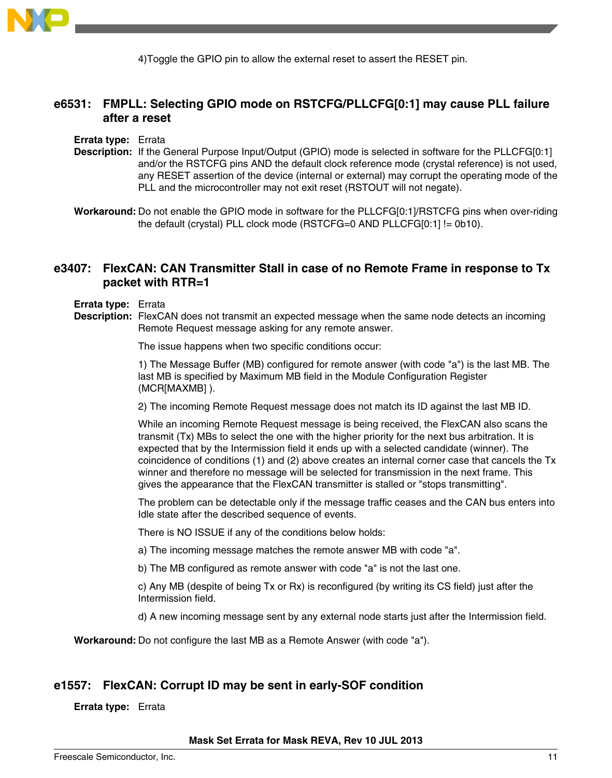

4)Toggle the GPIO pin to allow the external reset to assert the RESET pin.

# **e6531: FMPLL: Selecting GPIO mode on RSTCFG/PLLCFG[0:1] may cause PLL failure after a reset**

**Errata type:** Errata

- **Description:** If the General Purpose Input/Output (GPIO) mode is selected in software for the PLLCFG[0:1] and/or the RSTCFG pins AND the default clock reference mode (crystal reference) is not used, any RESET assertion of the device (internal or external) may corrupt the operating mode of the PLL and the microcontroller may not exit reset (RSTOUT will not negate).
- **Workaround:** Do not enable the GPIO mode in software for the PLLCFG[0:1]/RSTCFG pins when over-riding the default (crystal) PLL clock mode (RSTCFG=0 AND PLLCFG[0:1] != 0b10).

# **e3407: FlexCAN: CAN Transmitter Stall in case of no Remote Frame in response to Tx packet with RTR=1**

**Errata type:** Errata

**Description:** FlexCAN does not transmit an expected message when the same node detects an incoming Remote Request message asking for any remote answer.

The issue happens when two specific conditions occur:

1) The Message Buffer (MB) configured for remote answer (with code "a") is the last MB. The last MB is specified by Maximum MB field in the Module Configuration Register (MCR[MAXMB] ).

2) The incoming Remote Request message does not match its ID against the last MB ID.

While an incoming Remote Request message is being received, the FlexCAN also scans the transmit (Tx) MBs to select the one with the higher priority for the next bus arbitration. It is expected that by the Intermission field it ends up with a selected candidate (winner). The coincidence of conditions (1) and (2) above creates an internal corner case that cancels the Tx winner and therefore no message will be selected for transmission in the next frame. This gives the appearance that the FlexCAN transmitter is stalled or "stops transmitting".

The problem can be detectable only if the message traffic ceases and the CAN bus enters into Idle state after the described sequence of events.

There is NO ISSUE if any of the conditions below holds:

a) The incoming message matches the remote answer MB with code "a".

b) The MB configured as remote answer with code "a" is not the last one.

c) Any MB (despite of being Tx or Rx) is reconfigured (by writing its CS field) just after the Intermission field.

d) A new incoming message sent by any external node starts just after the Intermission field.

**Workaround:** Do not configure the last MB as a Remote Answer (with code "a").

### **e1557: FlexCAN: Corrupt ID may be sent in early-SOF condition**

**Errata type:** Errata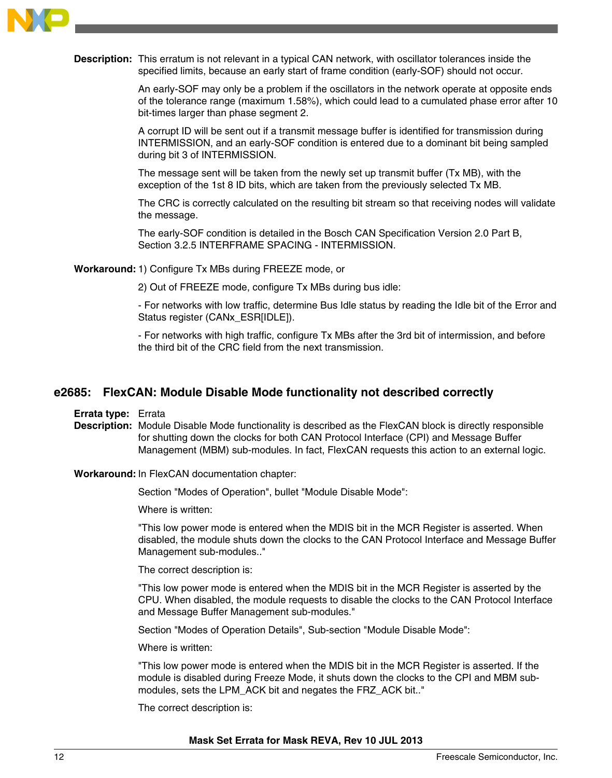

**Description:** This erratum is not relevant in a typical CAN network, with oscillator tolerances inside the specified limits, because an early start of frame condition (early-SOF) should not occur.

> An early-SOF may only be a problem if the oscillators in the network operate at opposite ends of the tolerance range (maximum 1.58%), which could lead to a cumulated phase error after 10 bit-times larger than phase segment 2.

A corrupt ID will be sent out if a transmit message buffer is identified for transmission during INTERMISSION, and an early-SOF condition is entered due to a dominant bit being sampled during bit 3 of INTERMISSION.

The message sent will be taken from the newly set up transmit buffer (Tx MB), with the exception of the 1st 8 ID bits, which are taken from the previously selected Tx MB.

The CRC is correctly calculated on the resulting bit stream so that receiving nodes will validate the message.

The early-SOF condition is detailed in the Bosch CAN Specification Version 2.0 Part B, Section 3.2.5 INTERFRAME SPACING - INTERMISSION.

**Workaround:**1) Configure Tx MBs during FREEZE mode, or

2) Out of FREEZE mode, configure Tx MBs during bus idle:

- For networks with low traffic, determine Bus Idle status by reading the Idle bit of the Error and Status register (CANx\_ESR[IDLE]).

- For networks with high traffic, configure Tx MBs after the 3rd bit of intermission, and before the third bit of the CRC field from the next transmission.

### **e2685: FlexCAN: Module Disable Mode functionality not described correctly**

**Errata type:** Errata

**Description:** Module Disable Mode functionality is described as the FlexCAN block is directly responsible for shutting down the clocks for both CAN Protocol Interface (CPI) and Message Buffer Management (MBM) sub-modules. In fact, FlexCAN requests this action to an external logic.

**Workaround:** In FlexCAN documentation chapter:

Section "Modes of Operation", bullet "Module Disable Mode":

Where is written:

"This low power mode is entered when the MDIS bit in the MCR Register is asserted. When disabled, the module shuts down the clocks to the CAN Protocol Interface and Message Buffer Management sub-modules.."

The correct description is:

"This low power mode is entered when the MDIS bit in the MCR Register is asserted by the CPU. When disabled, the module requests to disable the clocks to the CAN Protocol Interface and Message Buffer Management sub-modules."

Section "Modes of Operation Details", Sub-section "Module Disable Mode":

Where is written:

"This low power mode is entered when the MDIS bit in the MCR Register is asserted. If the module is disabled during Freeze Mode, it shuts down the clocks to the CPI and MBM submodules, sets the LPM\_ACK bit and negates the FRZ\_ACK bit.."

The correct description is: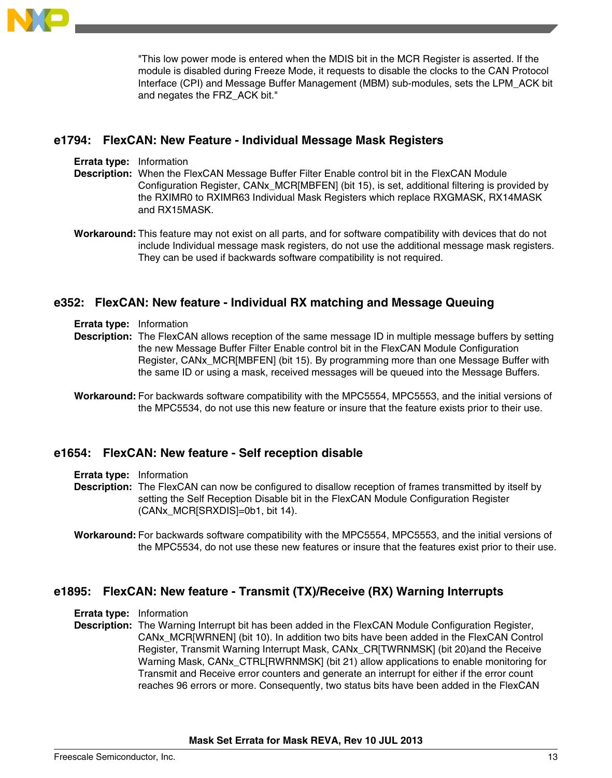

"This low power mode is entered when the MDIS bit in the MCR Register is asserted. If the module is disabled during Freeze Mode, it requests to disable the clocks to the CAN Protocol Interface (CPI) and Message Buffer Management (MBM) sub-modules, sets the LPM\_ACK bit and negates the FRZ\_ACK bit."

# **e1794: FlexCAN: New Feature - Individual Message Mask Registers**

- **Errata type:** Information
- **Description:** When the FlexCAN Message Buffer Filter Enable control bit in the FlexCAN Module Configuration Register, CANx\_MCR[MBFEN] (bit 15), is set, additional filtering is provided by the RXIMR0 to RXIMR63 Individual Mask Registers which replace RXGMASK, RX14MASK and RX15MASK.
- **Workaround:** This feature may not exist on all parts, and for software compatibility with devices that do not include Individual message mask registers, do not use the additional message mask registers. They can be used if backwards software compatibility is not required.

# **e352: FlexCAN: New feature - Individual RX matching and Message Queuing**

- **Errata type:** Information
- **Description:** The FlexCAN allows reception of the same message ID in multiple message buffers by setting the new Message Buffer Filter Enable control bit in the FlexCAN Module Configuration Register, CANx\_MCR[MBFEN] (bit 15). By programming more than one Message Buffer with the same ID or using a mask, received messages will be queued into the Message Buffers.
- **Workaround:** For backwards software compatibility with the MPC5554, MPC5553, and the initial versions of the MPC5534, do not use this new feature or insure that the feature exists prior to their use.

### **e1654: FlexCAN: New feature - Self reception disable**

- **Errata type:** Information
- **Description:** The FlexCAN can now be configured to disallow reception of frames transmitted by itself by setting the Self Reception Disable bit in the FlexCAN Module Configuration Register (CANx\_MCR[SRXDIS]=0b1, bit 14).

# **e1895: FlexCAN: New feature - Transmit (TX)/Receive (RX) Warning Interrupts**

- **Errata type:** Information
- **Description:** The Warning Interrupt bit has been added in the FlexCAN Module Configuration Register, CANx\_MCR[WRNEN] (bit 10). In addition two bits have been added in the FlexCAN Control Register, Transmit Warning Interrupt Mask, CANx\_CR[TWRNMSK] (bit 20)and the Receive Warning Mask, CANx CTRL[RWRNMSK] (bit 21) allow applications to enable monitoring for Transmit and Receive error counters and generate an interrupt for either if the error count reaches 96 errors or more. Consequently, two status bits have been added in the FlexCAN

**Workaround:** For backwards software compatibility with the MPC5554, MPC5553, and the initial versions of the MPC5534, do not use these new features or insure that the features exist prior to their use.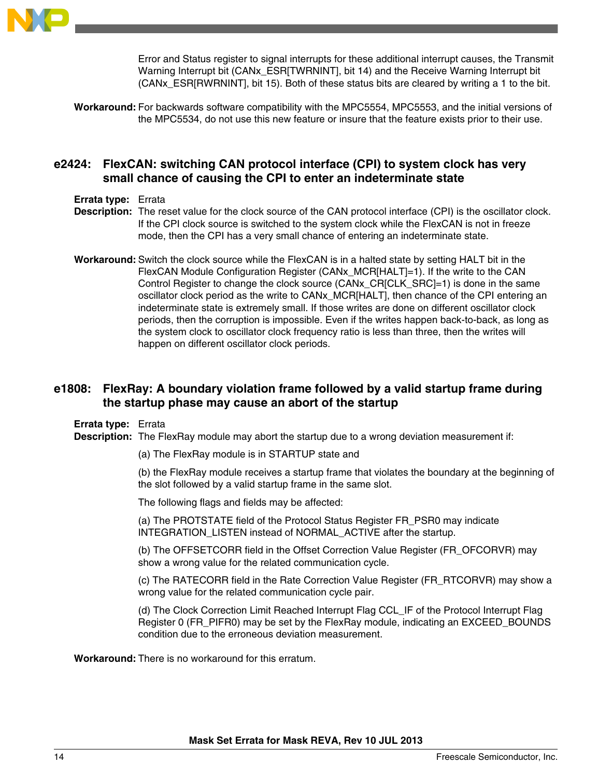

Error and Status register to signal interrupts for these additional interrupt causes, the Transmit Warning Interrupt bit (CANx\_ESR[TWRNINT], bit 14) and the Receive Warning Interrupt bit (CANx\_ESR[RWRNINT], bit 15). Both of these status bits are cleared by writing a 1 to the bit.

**Workaround:** For backwards software compatibility with the MPC5554, MPC5553, and the initial versions of the MPC5534, do not use this new feature or insure that the feature exists prior to their use.

# **e2424: FlexCAN: switching CAN protocol interface (CPI) to system clock has very small chance of causing the CPI to enter an indeterminate state**

- **Errata type:** Errata
- **Description:** The reset value for the clock source of the CAN protocol interface (CPI) is the oscillator clock. If the CPI clock source is switched to the system clock while the FlexCAN is not in freeze mode, then the CPI has a very small chance of entering an indeterminate state.
- **Workaround:** Switch the clock source while the FlexCAN is in a halted state by setting HALT bit in the FlexCAN Module Configuration Register (CANx\_MCR[HALT]=1). If the write to the CAN Control Register to change the clock source (CANx\_CR[CLK\_SRC]=1) is done in the same oscillator clock period as the write to CANx\_MCR[HALT], then chance of the CPI entering an indeterminate state is extremely small. If those writes are done on different oscillator clock periods, then the corruption is impossible. Even if the writes happen back-to-back, as long as the system clock to oscillator clock frequency ratio is less than three, then the writes will happen on different oscillator clock periods.

# **e1808: FlexRay: A boundary violation frame followed by a valid startup frame during the startup phase may cause an abort of the startup**

**Errata type:** Errata

**Description:** The FlexRay module may abort the startup due to a wrong deviation measurement if:

(a) The FlexRay module is in STARTUP state and

(b) the FlexRay module receives a startup frame that violates the boundary at the beginning of the slot followed by a valid startup frame in the same slot.

The following flags and fields may be affected:

(a) The PROTSTATE field of the Protocol Status Register FR\_PSR0 may indicate INTEGRATION\_LISTEN instead of NORMAL\_ACTIVE after the startup.

(b) The OFFSETCORR field in the Offset Correction Value Register (FR\_OFCORVR) may show a wrong value for the related communication cycle.

(c) The RATECORR field in the Rate Correction Value Register (FR\_RTCORVR) may show a wrong value for the related communication cycle pair.

(d) The Clock Correction Limit Reached Interrupt Flag CCL\_IF of the Protocol Interrupt Flag Register 0 (FR\_PIFR0) may be set by the FlexRay module, indicating an EXCEED\_BOUNDS condition due to the erroneous deviation measurement.

**Workaround:** There is no workaround for this erratum.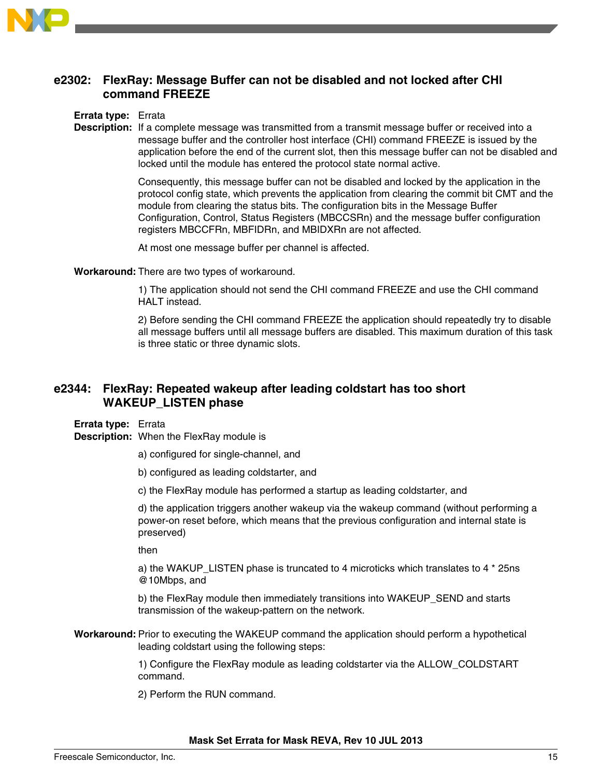

# **e2302: FlexRay: Message Buffer can not be disabled and not locked after CHI command FREEZE**

#### **Errata type:** Errata

**Description:** If a complete message was transmitted from a transmit message buffer or received into a message buffer and the controller host interface (CHI) command FREEZE is issued by the application before the end of the current slot, then this message buffer can not be disabled and locked until the module has entered the protocol state normal active.

> Consequently, this message buffer can not be disabled and locked by the application in the protocol config state, which prevents the application from clearing the commit bit CMT and the module from clearing the status bits. The configuration bits in the Message Buffer Configuration, Control, Status Registers (MBCCSRn) and the message buffer configuration registers MBCCFRn, MBFIDRn, and MBIDXRn are not affected.

At most one message buffer per channel is affected.

**Workaround:** There are two types of workaround.

1) The application should not send the CHI command FREEZE and use the CHI command HALT instead.

2) Before sending the CHI command FREEZE the application should repeatedly try to disable all message buffers until all message buffers are disabled. This maximum duration of this task is three static or three dynamic slots.

# **e2344: FlexRay: Repeated wakeup after leading coldstart has too short WAKEUP\_LISTEN phase**

**Errata type:** Errata

**Description:** When the FlexRay module is

- a) configured for single-channel, and
- b) configured as leading coldstarter, and
- c) the FlexRay module has performed a startup as leading coldstarter, and

d) the application triggers another wakeup via the wakeup command (without performing a power-on reset before, which means that the previous configuration and internal state is preserved)

then

a) the WAKUP\_LISTEN phase is truncated to 4 microticks which translates to 4  $*$  25ns @10Mbps, and

b) the FlexRay module then immediately transitions into WAKEUP\_SEND and starts transmission of the wakeup-pattern on the network.

**Workaround:** Prior to executing the WAKEUP command the application should perform a hypothetical leading coldstart using the following steps:

> 1) Configure the FlexRay module as leading coldstarter via the ALLOW\_COLDSTART command.

2) Perform the RUN command.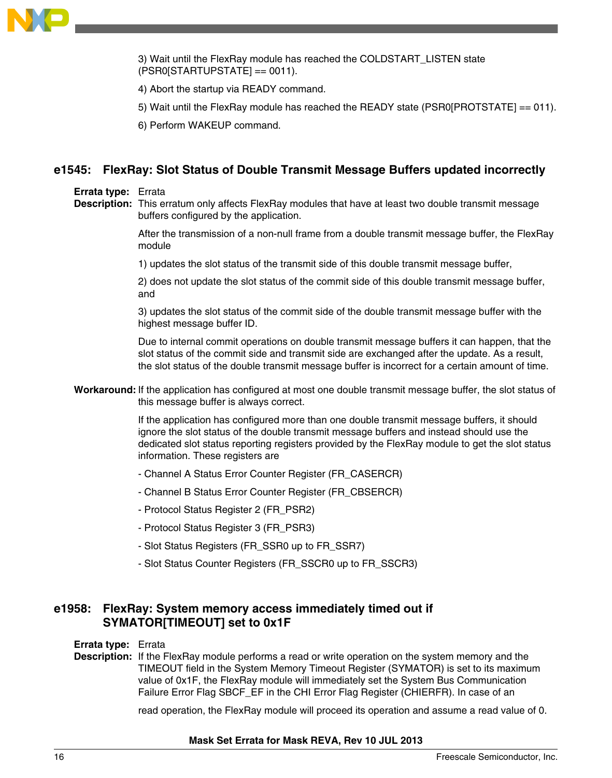

3) Wait until the FlexRay module has reached the COLDSTART\_LISTEN state (PSR0[STARTUPSTATE] == 0011).

4) Abort the startup via READY command.

5) Wait until the FlexRay module has reached the READY state (PSR0[PROTSTATE]  $== 011$ ).

6) Perform WAKEUP command.

# **e1545: FlexRay: Slot Status of Double Transmit Message Buffers updated incorrectly**

#### **Errata type:** Errata

**Description:** This erratum only affects FlexRay modules that have at least two double transmit message buffers configured by the application.

> After the transmission of a non-null frame from a double transmit message buffer, the FlexRay module

1) updates the slot status of the transmit side of this double transmit message buffer,

2) does not update the slot status of the commit side of this double transmit message buffer, and

3) updates the slot status of the commit side of the double transmit message buffer with the highest message buffer ID.

Due to internal commit operations on double transmit message buffers it can happen, that the slot status of the commit side and transmit side are exchanged after the update. As a result, the slot status of the double transmit message buffer is incorrect for a certain amount of time.

**Workaround:** If the application has configured at most one double transmit message buffer, the slot status of this message buffer is always correct.

> If the application has configured more than one double transmit message buffers, it should ignore the slot status of the double transmit message buffers and instead should use the dedicated slot status reporting registers provided by the FlexRay module to get the slot status information. These registers are

- Channel A Status Error Counter Register (FR\_CASERCR)
- Channel B Status Error Counter Register (FR\_CBSERCR)
- Protocol Status Register 2 (FR\_PSR2)
- Protocol Status Register 3 (FR\_PSR3)
- Slot Status Registers (FR\_SSR0 up to FR\_SSR7)
- Slot Status Counter Registers (FR\_SSCR0 up to FR\_SSCR3)

# **e1958: FlexRay: System memory access immediately timed out if SYMATOR[TIMEOUT] set to 0x1F**

#### **Errata type:** Errata

**Description:** If the FlexRay module performs a read or write operation on the system memory and the TIMEOUT field in the System Memory Timeout Register (SYMATOR) is set to its maximum value of 0x1F, the FlexRay module will immediately set the System Bus Communication Failure Error Flag SBCF\_EF in the CHI Error Flag Register (CHIERFR). In case of an

read operation, the FlexRay module will proceed its operation and assume a read value of 0.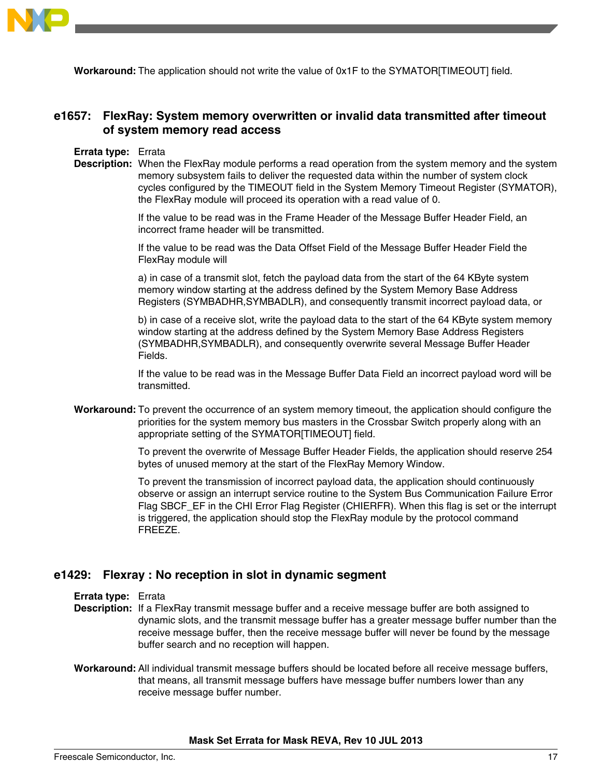

**Workaround:** The application should not write the value of 0x1F to the SYMATOR[TIMEOUT] field.

# **e1657: FlexRay: System memory overwritten or invalid data transmitted after timeout of system memory read access**

#### **Errata type:** Errata

**Description:** When the FlexRay module performs a read operation from the system memory and the system memory subsystem fails to deliver the requested data within the number of system clock cycles configured by the TIMEOUT field in the System Memory Timeout Register (SYMATOR), the FlexRay module will proceed its operation with a read value of 0.

> If the value to be read was in the Frame Header of the Message Buffer Header Field, an incorrect frame header will be transmitted.

> If the value to be read was the Data Offset Field of the Message Buffer Header Field the FlexRay module will

a) in case of a transmit slot, fetch the payload data from the start of the 64 KByte system memory window starting at the address defined by the System Memory Base Address Registers (SYMBADHR,SYMBADLR), and consequently transmit incorrect payload data, or

b) in case of a receive slot, write the payload data to the start of the 64 KByte system memory window starting at the address defined by the System Memory Base Address Registers (SYMBADHR,SYMBADLR), and consequently overwrite several Message Buffer Header Fields.

If the value to be read was in the Message Buffer Data Field an incorrect payload word will be transmitted.

**Workaround:** To prevent the occurrence of an system memory timeout, the application should configure the priorities for the system memory bus masters in the Crossbar Switch properly along with an appropriate setting of the SYMATOR[TIMEOUT] field.

> To prevent the overwrite of Message Buffer Header Fields, the application should reserve 254 bytes of unused memory at the start of the FlexRay Memory Window.

> To prevent the transmission of incorrect payload data, the application should continuously observe or assign an interrupt service routine to the System Bus Communication Failure Error Flag SBCF EF in the CHI Error Flag Register (CHIERFR). When this flag is set or the interrupt is triggered, the application should stop the FlexRay module by the protocol command FREEZE.

### **e1429: Flexray : No reception in slot in dynamic segment**

- **Errata type:** Errata
- **Description:** If a FlexRay transmit message buffer and a receive message buffer are both assigned to dynamic slots, and the transmit message buffer has a greater message buffer number than the receive message buffer, then the receive message buffer will never be found by the message buffer search and no reception will happen.
- **Workaround:** All individual transmit message buffers should be located before all receive message buffers, that means, all transmit message buffers have message buffer numbers lower than any receive message buffer number.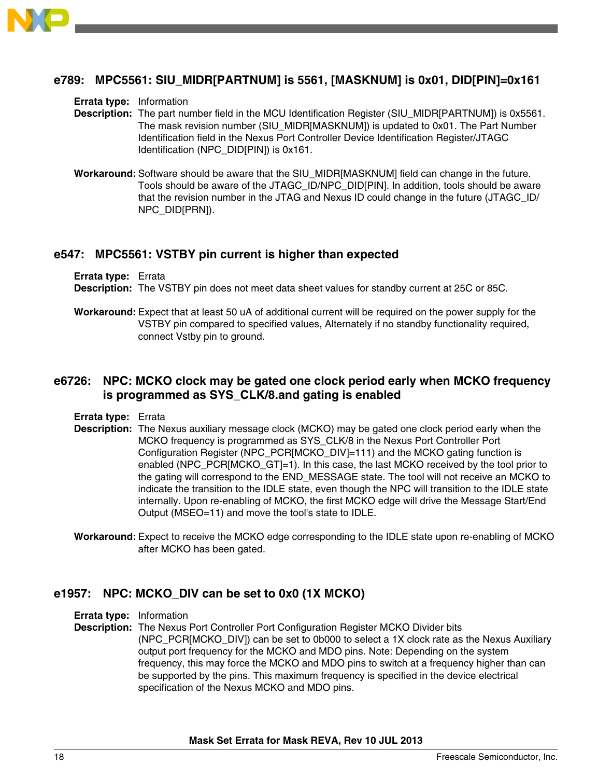

# **e789: MPC5561: SIU\_MIDR[PARTNUM] is 5561, [MASKNUM] is 0x01, DID[PIN]=0x161**

#### **Errata type:** Information

- **Description:** The part number field in the MCU Identification Register (SIU\_MIDR[PARTNUM]) is 0x5561. The mask revision number (SIU\_MIDR[MASKNUM]) is updated to 0x01. The Part Number Identification field in the Nexus Port Controller Device Identification Register/JTAGC Identification (NPC\_DID[PIN]) is 0x161.
- **Workaround:** Software should be aware that the SIU\_MIDR[MASKNUM] field can change in the future. Tools should be aware of the JTAGC\_ID/NPC\_DID[PIN]. In addition, tools should be aware that the revision number in the JTAG and Nexus ID could change in the future (JTAGC\_ID/ NPC\_DID[PRN]).

#### **e547: MPC5561: VSTBY pin current is higher than expected**

**Errata type:** Errata **Description:** The VSTBY pin does not meet data sheet values for standby current at 25C or 85C.

**Workaround:** Expect that at least 50 uA of additional current will be required on the power supply for the VSTBY pin compared to specified values, Alternately if no standby functionality required, connect Vstby pin to ground.

# **e6726: NPC: MCKO clock may be gated one clock period early when MCKO frequency is programmed as SYS\_CLK/8.and gating is enabled**

**Errata type:** Errata

- **Description:** The Nexus auxiliary message clock (MCKO) may be gated one clock period early when the MCKO frequency is programmed as SYS\_CLK/8 in the Nexus Port Controller Port Configuration Register (NPC\_PCR[MCKO\_DIV]=111) and the MCKO gating function is enabled (NPC\_PCR[MCKO\_GT]=1). In this case, the last MCKO received by the tool prior to the gating will correspond to the END\_MESSAGE state. The tool will not receive an MCKO to indicate the transition to the IDLE state, even though the NPC will transition to the IDLE state internally. Upon re-enabling of MCKO, the first MCKO edge will drive the Message Start/End Output (MSEO=11) and move the tool's state to IDLE.
- **Workaround:** Expect to receive the MCKO edge corresponding to the IDLE state upon re-enabling of MCKO after MCKO has been gated.

### **e1957: NPC: MCKO\_DIV can be set to 0x0 (1X MCKO)**

**Errata type:** Information

**Description:** The Nexus Port Controller Port Configuration Register MCKO Divider bits (NPC\_PCR[MCKO\_DIV]) can be set to 0b000 to select a 1X clock rate as the Nexus Auxiliary output port frequency for the MCKO and MDO pins. Note: Depending on the system frequency, this may force the MCKO and MDO pins to switch at a frequency higher than can be supported by the pins. This maximum frequency is specified in the device electrical specification of the Nexus MCKO and MDO pins.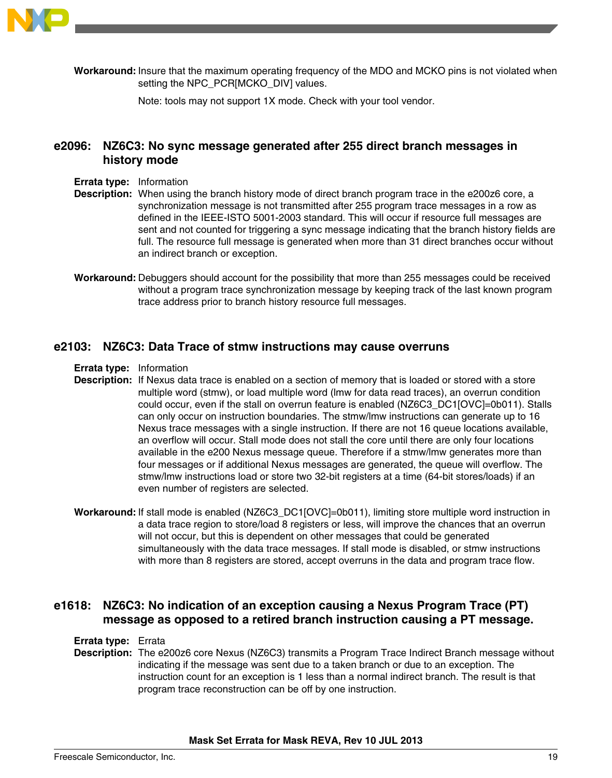

**Workaround:** Insure that the maximum operating frequency of the MDO and MCKO pins is not violated when setting the NPC\_PCR[MCKO\_DIV] values.

Note: tools may not support 1X mode. Check with your tool vendor.

# **e2096: NZ6C3: No sync message generated after 255 direct branch messages in history mode**

- **Errata type:** Information
- **Description:** When using the branch history mode of direct branch program trace in the e200z6 core, a synchronization message is not transmitted after 255 program trace messages in a row as defined in the IEEE-ISTO 5001-2003 standard. This will occur if resource full messages are sent and not counted for triggering a sync message indicating that the branch history fields are full. The resource full message is generated when more than 31 direct branches occur without an indirect branch or exception.
- **Workaround:** Debuggers should account for the possibility that more than 255 messages could be received without a program trace synchronization message by keeping track of the last known program trace address prior to branch history resource full messages.

#### **e2103: NZ6C3: Data Trace of stmw instructions may cause overruns**

**Errata type:** Information

- **Description:** If Nexus data trace is enabled on a section of memory that is loaded or stored with a store multiple word (stmw), or load multiple word (lmw for data read traces), an overrun condition could occur, even if the stall on overrun feature is enabled (NZ6C3\_DC1[OVC]=0b011). Stalls can only occur on instruction boundaries. The stmw/lmw instructions can generate up to 16 Nexus trace messages with a single instruction. If there are not 16 queue locations available, an overflow will occur. Stall mode does not stall the core until there are only four locations available in the e200 Nexus message queue. Therefore if a stmw/lmw generates more than four messages or if additional Nexus messages are generated, the queue will overflow. The stmw/lmw instructions load or store two 32-bit registers at a time (64-bit stores/loads) if an even number of registers are selected.
- **Workaround:** If stall mode is enabled (NZ6C3\_DC1[OVC]=0b011), limiting store multiple word instruction in a data trace region to store/load 8 registers or less, will improve the chances that an overrun will not occur, but this is dependent on other messages that could be generated simultaneously with the data trace messages. If stall mode is disabled, or stmw instructions with more than 8 registers are stored, accept overruns in the data and program trace flow.

# **e1618: NZ6C3: No indication of an exception causing a Nexus Program Trace (PT) message as opposed to a retired branch instruction causing a PT message.**

#### **Errata type:** Errata

**Description:** The e200z6 core Nexus (NZ6C3) transmits a Program Trace Indirect Branch message without indicating if the message was sent due to a taken branch or due to an exception. The instruction count for an exception is 1 less than a normal indirect branch. The result is that program trace reconstruction can be off by one instruction.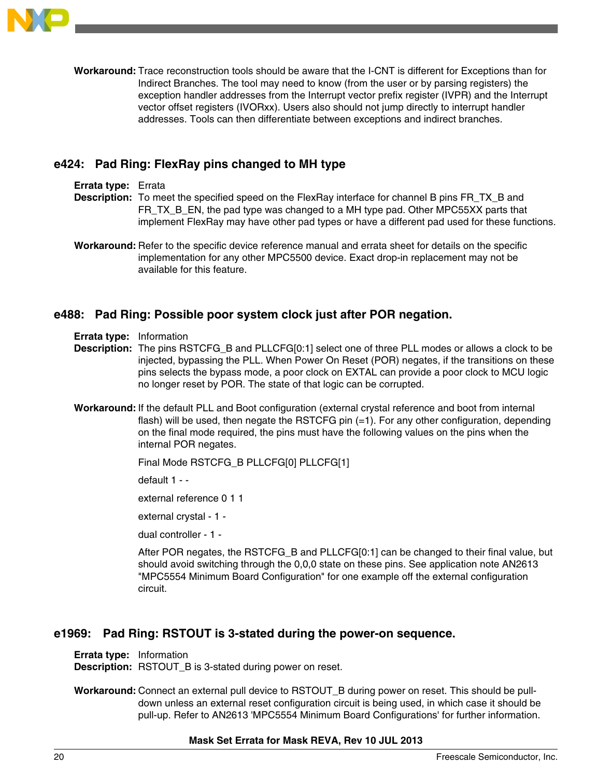

**Workaround:** Trace reconstruction tools should be aware that the I-CNT is different for Exceptions than for Indirect Branches. The tool may need to know (from the user or by parsing registers) the exception handler addresses from the Interrupt vector prefix register (IVPR) and the Interrupt vector offset registers (IVORxx). Users also should not jump directly to interrupt handler addresses. Tools can then differentiate between exceptions and indirect branches.

# **e424: Pad Ring: FlexRay pins changed to MH type**

#### **Errata type:** Errata

- **Description:** To meet the specified speed on the FlexRay interface for channel B pins FR\_TX\_B and FR\_TX\_B\_EN, the pad type was changed to a MH type pad. Other MPC55XX parts that implement FlexRay may have other pad types or have a different pad used for these functions.
- **Workaround:** Refer to the specific device reference manual and errata sheet for details on the specific implementation for any other MPC5500 device. Exact drop-in replacement may not be available for this feature.

### **e488: Pad Ring: Possible poor system clock just after POR negation.**

- **Errata type:** Information
- **Description:** The pins RSTCFG\_B and PLLCFG[0:1] select one of three PLL modes or allows a clock to be injected, bypassing the PLL. When Power On Reset (POR) negates, if the transitions on these pins selects the bypass mode, a poor clock on EXTAL can provide a poor clock to MCU logic no longer reset by POR. The state of that logic can be corrupted.
- **Workaround:** If the default PLL and Boot configuration (external crystal reference and boot from internal flash) will be used, then negate the RSTCFG pin (=1). For any other configuration, depending on the final mode required, the pins must have the following values on the pins when the internal POR negates.

```
Final Mode RSTCFG_B PLLCFG[0] PLLCFG[1]
```
default 1 - -

external reference 0 1 1

external crystal - 1 -

dual controller - 1 -

After POR negates, the RSTCFG\_B and PLLCFG[0:1] can be changed to their final value, but should avoid switching through the 0,0,0 state on these pins. See application note AN2613 "MPC5554 Minimum Board Configuration" for one example off the external configuration circuit.

#### **e1969: Pad Ring: RSTOUT is 3-stated during the power-on sequence.**

**Errata type:** Information

**Description:** RSTOUT\_B is 3-stated during power on reset.

**Workaround:** Connect an external pull device to RSTOUT\_B during power on reset. This should be pulldown unless an external reset configuration circuit is being used, in which case it should be pull-up. Refer to AN2613 'MPC5554 Minimum Board Configurations' for further information.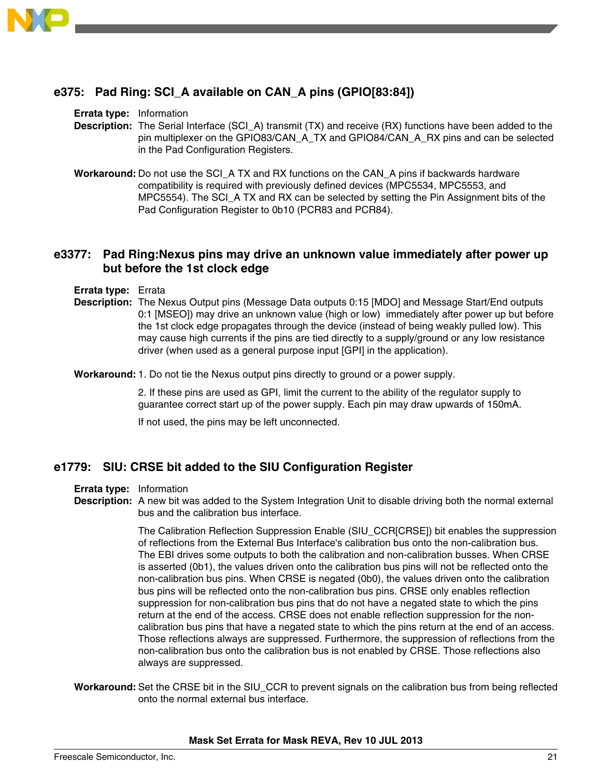

# **e375: Pad Ring: SCI\_A available on CAN\_A pins (GPIO[83:84])**

#### **Errata type:** Information

- **Description:** The Serial Interface (SCI\_A) transmit (TX) and receive (RX) functions have been added to the pin multiplexer on the GPIO83/CAN\_A\_TX and GPIO84/CAN\_A\_RX pins and can be selected in the Pad Configuration Registers.
- **Workaround:** Do not use the SCI\_A TX and RX functions on the CAN\_A pins if backwards hardware compatibility is required with previously defined devices (MPC5534, MPC5553, and MPC5554). The SCI A TX and RX can be selected by setting the Pin Assignment bits of the Pad Configuration Register to 0b10 (PCR83 and PCR84).

# **e3377: Pad Ring:Nexus pins may drive an unknown value immediately after power up but before the 1st clock edge**

- **Errata type:** Errata
- **Description:** The Nexus Output pins (Message Data outputs 0:15 [MDO] and Message Start/End outputs 0:1 [MSEO]) may drive an unknown value (high or low) immediately after power up but before the 1st clock edge propagates through the device (instead of being weakly pulled low). This may cause high currents if the pins are tied directly to a supply/ground or any low resistance driver (when used as a general purpose input [GPI] in the application).

**Workaround:**1. Do not tie the Nexus output pins directly to ground or a power supply.

2. If these pins are used as GPI, limit the current to the ability of the regulator supply to guarantee correct start up of the power supply. Each pin may draw upwards of 150mA.

If not used, the pins may be left unconnected.

### **e1779: SIU: CRSE bit added to the SIU Configuration Register**

- **Errata type:** Information
- **Description:** A new bit was added to the System Integration Unit to disable driving both the normal external bus and the calibration bus interface.

The Calibration Reflection Suppression Enable (SIU\_CCR[CRSE]) bit enables the suppression of reflections from the External Bus Interface's calibration bus onto the non-calibration bus. The EBI drives some outputs to both the calibration and non-calibration busses. When CRSE is asserted (0b1), the values driven onto the calibration bus pins will not be reflected onto the non-calibration bus pins. When CRSE is negated (0b0), the values driven onto the calibration bus pins will be reflected onto the non-calibration bus pins. CRSE only enables reflection suppression for non-calibration bus pins that do not have a negated state to which the pins return at the end of the access. CRSE does not enable reflection suppression for the noncalibration bus pins that have a negated state to which the pins return at the end of an access. Those reflections always are suppressed. Furthermore, the suppression of reflections from the non-calibration bus onto the calibration bus is not enabled by CRSE. Those reflections also always are suppressed.

**Workaround:** Set the CRSE bit in the SIU\_CCR to prevent signals on the calibration bus from being reflected onto the normal external bus interface.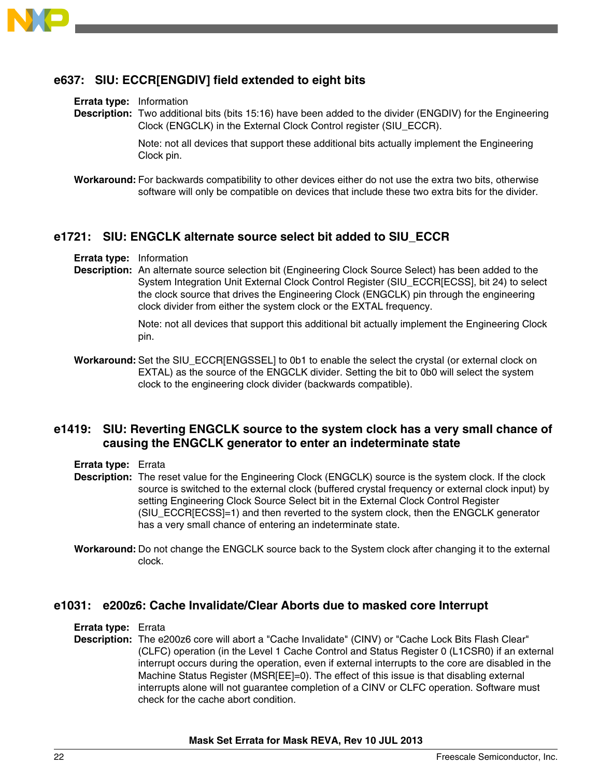

# **e637: SIU: ECCR[ENGDIV] field extended to eight bits**

**Errata type:** Information

**Description:** Two additional bits (bits 15:16) have been added to the divider (ENGDIV) for the Engineering Clock (ENGCLK) in the External Clock Control register (SIU\_ECCR).

> Note: not all devices that support these additional bits actually implement the Engineering Clock pin.

**Workaround:** For backwards compatibility to other devices either do not use the extra two bits, otherwise software will only be compatible on devices that include these two extra bits for the divider.

#### **e1721: SIU: ENGCLK alternate source select bit added to SIU\_ECCR**

**Errata type:** Information

**Description:** An alternate source selection bit (Engineering Clock Source Select) has been added to the System Integration Unit External Clock Control Register (SIU\_ECCR[ECSS], bit 24) to select the clock source that drives the Engineering Clock (ENGCLK) pin through the engineering clock divider from either the system clock or the EXTAL frequency.

> Note: not all devices that support this additional bit actually implement the Engineering Clock pin.

**Workaround:** Set the SIU\_ECCR[ENGSSEL] to 0b1 to enable the select the crystal (or external clock on EXTAL) as the source of the ENGCLK divider. Setting the bit to 0b0 will select the system clock to the engineering clock divider (backwards compatible).

# **e1419: SIU: Reverting ENGCLK source to the system clock has a very small chance of causing the ENGCLK generator to enter an indeterminate state**

- **Errata type:** Errata
- **Description:** The reset value for the Engineering Clock (ENGCLK) source is the system clock. If the clock source is switched to the external clock (buffered crystal frequency or external clock input) by setting Engineering Clock Source Select bit in the External Clock Control Register (SIU\_ECCR[ECSS]=1) and then reverted to the system clock, then the ENGCLK generator has a very small chance of entering an indeterminate state.
- **Workaround:** Do not change the ENGCLK source back to the System clock after changing it to the external clock.

#### **e1031: e200z6: Cache Invalidate/Clear Aborts due to masked core Interrupt**

**Errata type:** Errata

**Description:** The e200z6 core will abort a "Cache Invalidate" (CINV) or "Cache Lock Bits Flash Clear" (CLFC) operation (in the Level 1 Cache Control and Status Register 0 (L1CSR0) if an external interrupt occurs during the operation, even if external interrupts to the core are disabled in the Machine Status Register (MSR[EE]=0). The effect of this issue is that disabling external interrupts alone will not guarantee completion of a CINV or CLFC operation. Software must check for the cache abort condition.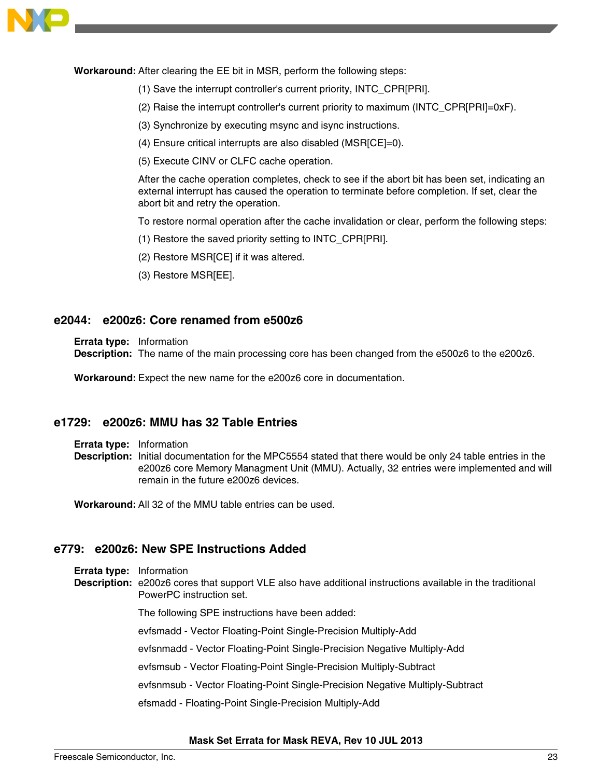

**Workaround:** After clearing the EE bit in MSR, perform the following steps:

- (1) Save the interrupt controller's current priority, INTC\_CPR[PRI].
- (2) Raise the interrupt controller's current priority to maximum (INTC\_CPR[PRI]=0xF).
- (3) Synchronize by executing msync and isync instructions.
- (4) Ensure critical interrupts are also disabled (MSR[CE]=0).
- (5) Execute CINV or CLFC cache operation.

After the cache operation completes, check to see if the abort bit has been set, indicating an external interrupt has caused the operation to terminate before completion. If set, clear the abort bit and retry the operation.

To restore normal operation after the cache invalidation or clear, perform the following steps:

- (1) Restore the saved priority setting to INTC\_CPR[PRI].
- (2) Restore MSR[CE] if it was altered.
- (3) Restore MSR[EE].

### **e2044: e200z6: Core renamed from e500z6**

**Errata type:** Information

**Description:** The name of the main processing core has been changed from the e500z6 to the e200z6.

**Workaround:** Expect the new name for the e200z6 core in documentation.

### **e1729: e200z6: MMU has 32 Table Entries**

- **Errata type:** Information
- **Description:** Initial documentation for the MPC5554 stated that there would be only 24 table entries in the e200z6 core Memory Managment Unit (MMU). Actually, 32 entries were implemented and will remain in the future e200z6 devices.

**Workaround:** All 32 of the MMU table entries can be used.

### **e779: e200z6: New SPE Instructions Added**

- **Errata type:** Information
- **Description:** e200z6 cores that support VLE also have additional instructions available in the traditional PowerPC instruction set.

The following SPE instructions have been added:

evfsmadd - Vector Floating-Point Single-Precision Multiply-Add

evfsnmadd - Vector Floating-Point Single-Precision Negative Multiply-Add

evfsmsub - Vector Floating-Point Single-Precision Multiply-Subtract

evfsnmsub - Vector Floating-Point Single-Precision Negative Multiply-Subtract

efsmadd - Floating-Point Single-Precision Multiply-Add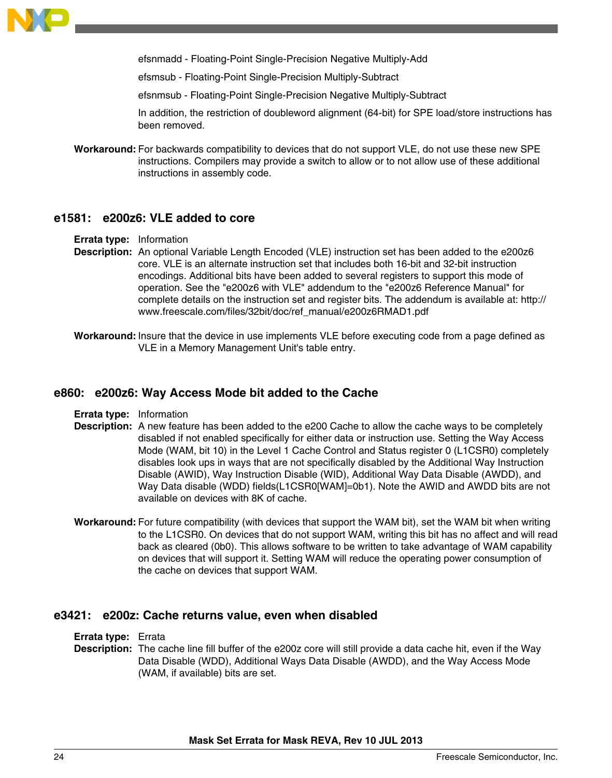

efsnmadd - Floating-Point Single-Precision Negative Multiply-Add

efsmsub - Floating-Point Single-Precision Multiply-Subtract

efsnmsub - Floating-Point Single-Precision Negative Multiply-Subtract

In addition, the restriction of doubleword alignment (64-bit) for SPE load/store instructions has been removed.

**Workaround:** For backwards compatibility to devices that do not support VLE, do not use these new SPE instructions. Compilers may provide a switch to allow or to not allow use of these additional instructions in assembly code.

#### **e1581: e200z6: VLE added to core**

- **Errata type:** Information
- **Description:** An optional Variable Length Encoded (VLE) instruction set has been added to the e200z6 core. VLE is an alternate instruction set that includes both 16-bit and 32-bit instruction encodings. Additional bits have been added to several registers to support this mode of operation. See the "e200z6 with VLE" addendum to the "e200z6 Reference Manual" for complete details on the instruction set and register bits. The addendum is available at: http:// www.freescale.com/files/32bit/doc/ref\_manual/e200z6RMAD1.pdf
- **Workaround:** Insure that the device in use implements VLE before executing code from a page defined as VLE in a Memory Management Unit's table entry.

### **e860: e200z6: Way Access Mode bit added to the Cache**

- **Errata type:** Information
- **Description:** A new feature has been added to the e200 Cache to allow the cache ways to be completely disabled if not enabled specifically for either data or instruction use. Setting the Way Access Mode (WAM, bit 10) in the Level 1 Cache Control and Status register 0 (L1CSR0) completely disables look ups in ways that are not specifically disabled by the Additional Way Instruction Disable (AWID), Way Instruction Disable (WID), Additional Way Data Disable (AWDD), and Way Data disable (WDD) fields(L1CSR0[WAM]=0b1). Note the AWID and AWDD bits are not available on devices with 8K of cache.
- **Workaround:** For future compatibility (with devices that support the WAM bit), set the WAM bit when writing to the L1CSR0. On devices that do not support WAM, writing this bit has no affect and will read back as cleared (0b0). This allows software to be written to take advantage of WAM capability on devices that will support it. Setting WAM will reduce the operating power consumption of the cache on devices that support WAM.

#### **e3421: e200z: Cache returns value, even when disabled**

**Errata type:** Errata

**Description:** The cache line fill buffer of the e200z core will still provide a data cache hit, even if the Way Data Disable (WDD), Additional Ways Data Disable (AWDD), and the Way Access Mode (WAM, if available) bits are set.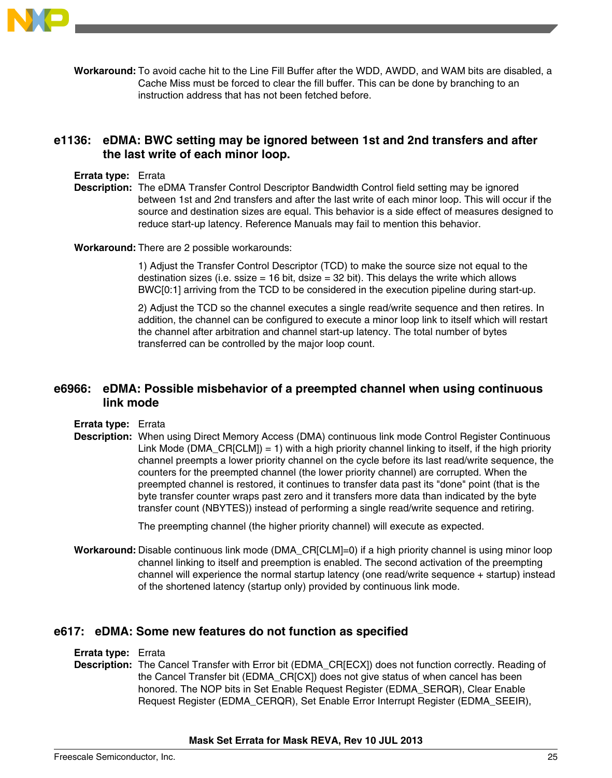

**Workaround:** To avoid cache hit to the Line Fill Buffer after the WDD, AWDD, and WAM bits are disabled, a Cache Miss must be forced to clear the fill buffer. This can be done by branching to an instruction address that has not been fetched before.

# **e1136: eDMA: BWC setting may be ignored between 1st and 2nd transfers and after the last write of each minor loop.**

#### **Errata type:** Errata

**Description:** The eDMA Transfer Control Descriptor Bandwidth Control field setting may be ignored between 1st and 2nd transfers and after the last write of each minor loop. This will occur if the source and destination sizes are equal. This behavior is a side effect of measures designed to reduce start-up latency. Reference Manuals may fail to mention this behavior.

#### **Workaround:** There are 2 possible workarounds:

1) Adjust the Transfer Control Descriptor (TCD) to make the source size not equal to the destination sizes (i.e. ssize  $= 16$  bit, dsize  $= 32$  bit). This delays the write which allows BWC[0:1] arriving from the TCD to be considered in the execution pipeline during start-up.

2) Adjust the TCD so the channel executes a single read/write sequence and then retires. In addition, the channel can be configured to execute a minor loop link to itself which will restart the channel after arbitration and channel start-up latency. The total number of bytes transferred can be controlled by the major loop count.

# **e6966: eDMA: Possible misbehavior of a preempted channel when using continuous link mode**

- **Errata type:** Errata
- **Description:** When using Direct Memory Access (DMA) continuous link mode Control Register Continuous Link Mode (DMA\_CR[CLM]) = 1) with a high priority channel linking to itself, if the high priority channel preempts a lower priority channel on the cycle before its last read/write sequence, the counters for the preempted channel (the lower priority channel) are corrupted. When the preempted channel is restored, it continues to transfer data past its "done" point (that is the byte transfer counter wraps past zero and it transfers more data than indicated by the byte transfer count (NBYTES)) instead of performing a single read/write sequence and retiring.

The preempting channel (the higher priority channel) will execute as expected.

**Workaround:** Disable continuous link mode (DMA\_CR[CLM]=0) if a high priority channel is using minor loop channel linking to itself and preemption is enabled. The second activation of the preempting channel will experience the normal startup latency (one read/write sequence + startup) instead of the shortened latency (startup only) provided by continuous link mode.

### **e617: eDMA: Some new features do not function as specified**

#### **Errata type:** Errata

**Description:** The Cancel Transfer with Error bit (EDMA\_CR[ECX]) does not function correctly. Reading of the Cancel Transfer bit (EDMA\_CR[CX]) does not give status of when cancel has been honored. The NOP bits in Set Enable Request Register (EDMA\_SERQR), Clear Enable Request Register (EDMA\_CERQR), Set Enable Error Interrupt Register (EDMA\_SEEIR),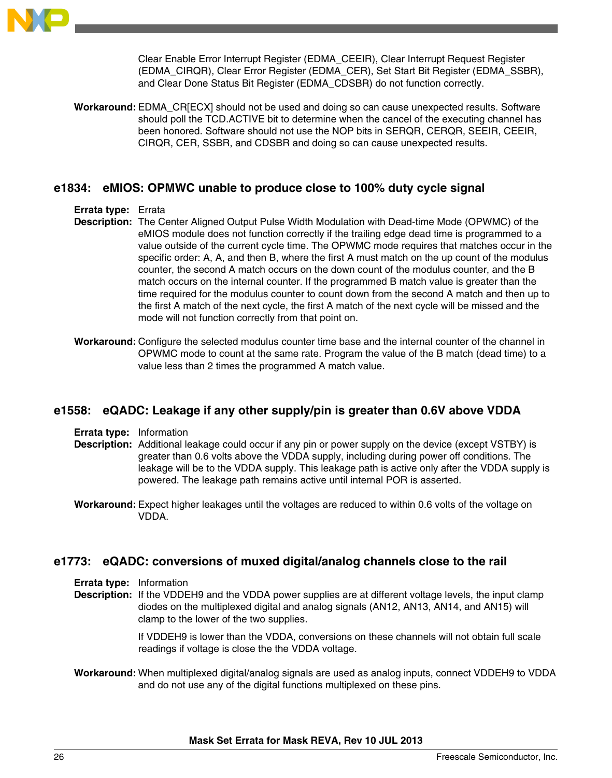

Clear Enable Error Interrupt Register (EDMA\_CEEIR), Clear Interrupt Request Register (EDMA\_CIRQR), Clear Error Register (EDMA\_CER), Set Start Bit Register (EDMA\_SSBR), and Clear Done Status Bit Register (EDMA\_CDSBR) do not function correctly.

**Workaround:** EDMA\_CR[ECX] should not be used and doing so can cause unexpected results. Software should poll the TCD.ACTIVE bit to determine when the cancel of the executing channel has been honored. Software should not use the NOP bits in SERQR, CERQR, SEEIR, CEEIR, CIRQR, CER, SSBR, and CDSBR and doing so can cause unexpected results.

### **e1834: eMIOS: OPMWC unable to produce close to 100% duty cycle signal**

#### **Errata type:** Errata

- **Description:** The Center Aligned Output Pulse Width Modulation with Dead-time Mode (OPWMC) of the eMIOS module does not function correctly if the trailing edge dead time is programmed to a value outside of the current cycle time. The OPWMC mode requires that matches occur in the specific order: A, A, and then B, where the first A must match on the up count of the modulus counter, the second A match occurs on the down count of the modulus counter, and the B match occurs on the internal counter. If the programmed B match value is greater than the time required for the modulus counter to count down from the second A match and then up to the first A match of the next cycle, the first A match of the next cycle will be missed and the mode will not function correctly from that point on.
- **Workaround:** Configure the selected modulus counter time base and the internal counter of the channel in OPWMC mode to count at the same rate. Program the value of the B match (dead time) to a value less than 2 times the programmed A match value.

### **e1558: eQADC: Leakage if any other supply/pin is greater than 0.6V above VDDA**

- **Errata type:** Information
- **Description:** Additional leakage could occur if any pin or power supply on the device (except VSTBY) is greater than 0.6 volts above the VDDA supply, including during power off conditions. The leakage will be to the VDDA supply. This leakage path is active only after the VDDA supply is powered. The leakage path remains active until internal POR is asserted.
- **Workaround:** Expect higher leakages until the voltages are reduced to within 0.6 volts of the voltage on VDDA.

### **e1773: eQADC: conversions of muxed digital/analog channels close to the rail**

```
Errata type: Information
```
**Description:** If the VDDEH9 and the VDDA power supplies are at different voltage levels, the input clamp diodes on the multiplexed digital and analog signals (AN12, AN13, AN14, and AN15) will clamp to the lower of the two supplies.

> If VDDEH9 is lower than the VDDA, conversions on these channels will not obtain full scale readings if voltage is close the the VDDA voltage.

**Workaround:** When multiplexed digital/analog signals are used as analog inputs, connect VDDEH9 to VDDA and do not use any of the digital functions multiplexed on these pins.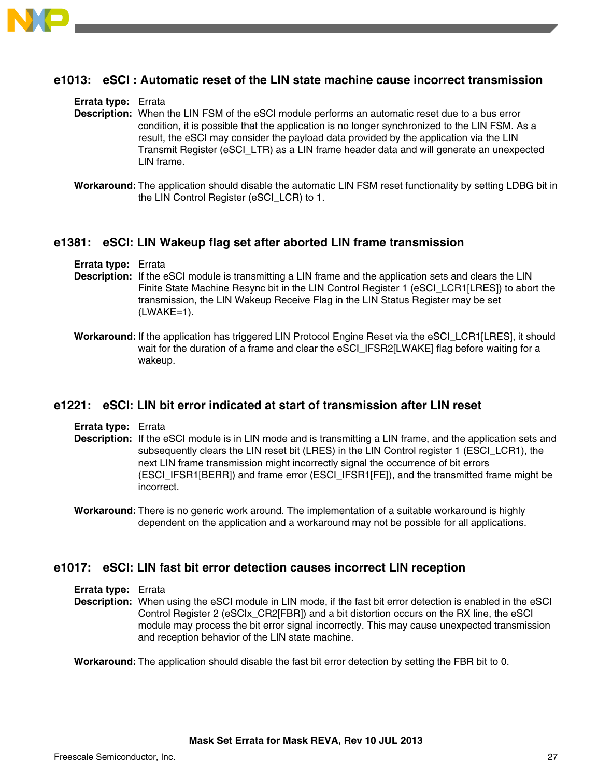

### **e1013: eSCI : Automatic reset of the LIN state machine cause incorrect transmission**

#### **Errata type:** Errata

- **Description:** When the LIN FSM of the eSCI module performs an automatic reset due to a bus error condition, it is possible that the application is no longer synchronized to the LIN FSM. As a result, the eSCI may consider the payload data provided by the application via the LIN Transmit Register (eSCI\_LTR) as a LIN frame header data and will generate an unexpected LIN frame.
- **Workaround:** The application should disable the automatic LIN FSM reset functionality by setting LDBG bit in the LIN Control Register (eSCI\_LCR) to 1.

#### **e1381: eSCI: LIN Wakeup flag set after aborted LIN frame transmission**

- **Errata type:** Errata
- **Description:** If the eSCI module is transmitting a LIN frame and the application sets and clears the LIN Finite State Machine Resync bit in the LIN Control Register 1 (eSCI\_LCR1[LRES]) to abort the transmission, the LIN Wakeup Receive Flag in the LIN Status Register may be set  $(LWAKE=1)$ .
- **Workaround:** If the application has triggered LIN Protocol Engine Reset via the eSCI\_LCR1[LRES], it should wait for the duration of a frame and clear the eSCI\_IFSR2[LWAKE] flag before waiting for a wakeup.

#### **e1221: eSCI: LIN bit error indicated at start of transmission after LIN reset**

**Errata type:** Errata

- **Description:** If the eSCI module is in LIN mode and is transmitting a LIN frame, and the application sets and subsequently clears the LIN reset bit (LRES) in the LIN Control register 1 (ESCI\_LCR1), the next LIN frame transmission might incorrectly signal the occurrence of bit errors (ESCI\_IFSR1[BERR]) and frame error (ESCI\_IFSR1[FE]), and the transmitted frame might be incorrect.
- **Workaround:** There is no generic work around. The implementation of a suitable workaround is highly dependent on the application and a workaround may not be possible for all applications.

### **e1017: eSCI: LIN fast bit error detection causes incorrect LIN reception**

**Errata type:** Errata

**Description:** When using the eSCI module in LIN mode, if the fast bit error detection is enabled in the eSCI Control Register 2 (eSCIx\_CR2[FBR]) and a bit distortion occurs on the RX line, the eSCI module may process the bit error signal incorrectly. This may cause unexpected transmission and reception behavior of the LIN state machine.

**Workaround:** The application should disable the fast bit error detection by setting the FBR bit to 0.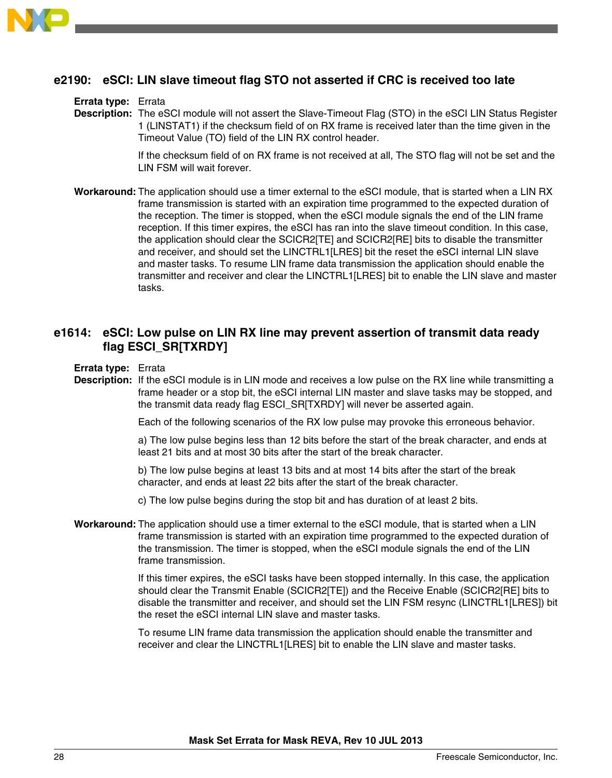

# **e2190: eSCI: LIN slave timeout flag STO not asserted if CRC is received too late**

#### **Errata type:** Errata

**Description:** The eSCI module will not assert the Slave-Timeout Flag (STO) in the eSCI LIN Status Register 1 (LINSTAT1) if the checksum field of on RX frame is received later than the time given in the Timeout Value (TO) field of the LIN RX control header.

> If the checksum field of on RX frame is not received at all, The STO flag will not be set and the LIN FSM will wait forever.

**Workaround:** The application should use a timer external to the eSCI module, that is started when a LIN RX frame transmission is started with an expiration time programmed to the expected duration of the reception. The timer is stopped, when the eSCI module signals the end of the LIN frame reception. If this timer expires, the eSCI has ran into the slave timeout condition. In this case, the application should clear the SCICR2[TE] and SCICR2[RE] bits to disable the transmitter and receiver, and should set the LINCTRL1[LRES] bit the reset the eSCI internal LIN slave and master tasks. To resume LIN frame data transmission the application should enable the transmitter and receiver and clear the LINCTRL1[LRES] bit to enable the LIN slave and master tasks.

# **e1614: eSCI: Low pulse on LIN RX line may prevent assertion of transmit data ready flag ESCI\_SR[TXRDY]**

**Errata type:** Errata

**Description:** If the eSCI module is in LIN mode and receives a low pulse on the RX line while transmitting a frame header or a stop bit, the eSCI internal LIN master and slave tasks may be stopped, and the transmit data ready flag ESCI\_SR[TXRDY] will never be asserted again.

Each of the following scenarios of the RX low pulse may provoke this erroneous behavior.

a) The low pulse begins less than 12 bits before the start of the break character, and ends at least 21 bits and at most 30 bits after the start of the break character.

b) The low pulse begins at least 13 bits and at most 14 bits after the start of the break character, and ends at least 22 bits after the start of the break character.

- c) The low pulse begins during the stop bit and has duration of at least 2 bits.
- **Workaround:** The application should use a timer external to the eSCI module, that is started when a LIN frame transmission is started with an expiration time programmed to the expected duration of the transmission. The timer is stopped, when the eSCI module signals the end of the LIN frame transmission.

If this timer expires, the eSCI tasks have been stopped internally. In this case, the application should clear the Transmit Enable (SCICR2[TE]) and the Receive Enable (SCICR2[RE] bits to disable the transmitter and receiver, and should set the LIN FSM resync (LINCTRL1[LRES]) bit the reset the eSCI internal LIN slave and master tasks.

To resume LIN frame data transmission the application should enable the transmitter and receiver and clear the LINCTRL1[LRES] bit to enable the LIN slave and master tasks.